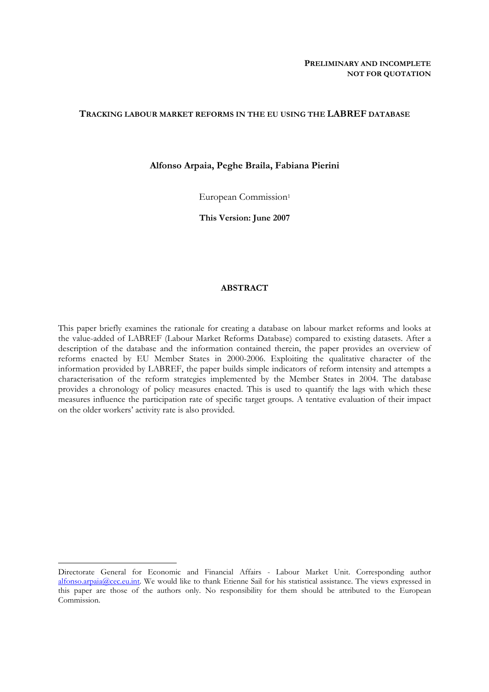# **TRACKING LABOUR MARKET REFORMS IN THE EU USING THE LABREF DATABASE**

## **Alfonso Arpaia, Peghe Braila, Fabiana Pierini**

European Commission<sup>1</sup>

**This Version: June 2007** 

# **ABSTRACT**

This paper briefly examines the rationale for creating a database on labour market reforms and looks at the value-added of LABREF (Labour Market Reforms Database) compared to existing datasets. After a description of the database and the information contained therein, the paper provides an overview of reforms enacted by EU Member States in 2000-2006. Exploiting the qualitative character of the information provided by LABREF, the paper builds simple indicators of reform intensity and attempts a characterisation of the reform strategies implemented by the Member States in 2004. The database provides a chronology of policy measures enacted. This is used to quantify the lags with which these measures influence the participation rate of specific target groups. A tentative evaluation of their impact on the older workers' activity rate is also provided.

Directorate General for Economic and Financial Affairs - Labour Market Unit. Corresponding author [alfonso.arpaia@cec.eu.int.](mailto:alfonso.arpaia@cec.eu.int) We would like to thank Etienne Sail for his statistical assistance. The views expressed in this paper are those of the authors only. No responsibility for them should be attributed to the European Commission.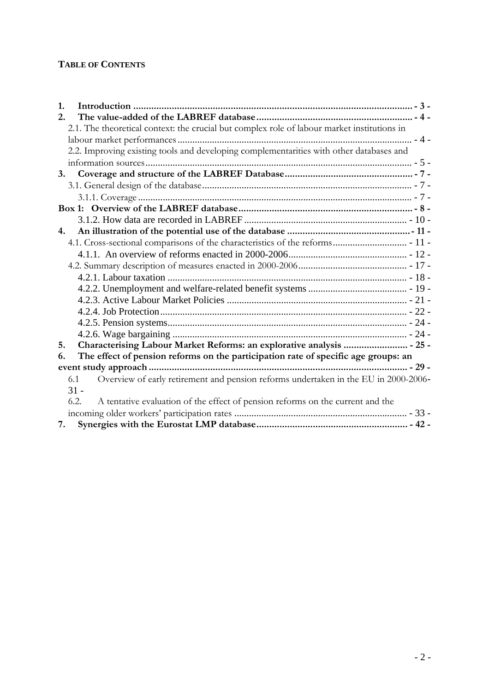# **TABLE OF CONTENTS**

| 1.                                                                                          |  |
|---------------------------------------------------------------------------------------------|--|
| 2.                                                                                          |  |
| 2.1. The theoretical context: the crucial but complex role of labour market institutions in |  |
|                                                                                             |  |
| 2.2. Improving existing tools and developing complementarities with other databases and     |  |
|                                                                                             |  |
| 3.                                                                                          |  |
|                                                                                             |  |
|                                                                                             |  |
|                                                                                             |  |
|                                                                                             |  |
| 4.                                                                                          |  |
|                                                                                             |  |
|                                                                                             |  |
|                                                                                             |  |
|                                                                                             |  |
|                                                                                             |  |
|                                                                                             |  |
|                                                                                             |  |
|                                                                                             |  |
|                                                                                             |  |
| Characterising Labour Market Reforms: an explorative analysis  - 25 -<br>5.                 |  |
| The effect of pension reforms on the participation rate of specific age groups: an<br>6.    |  |
|                                                                                             |  |
| Overview of early retirement and pension reforms undertaken in the EU in 2000-2006-<br>6.1  |  |
| $31 -$                                                                                      |  |
| 6.2.<br>A tentative evaluation of the effect of pension reforms on the current and the      |  |
|                                                                                             |  |
|                                                                                             |  |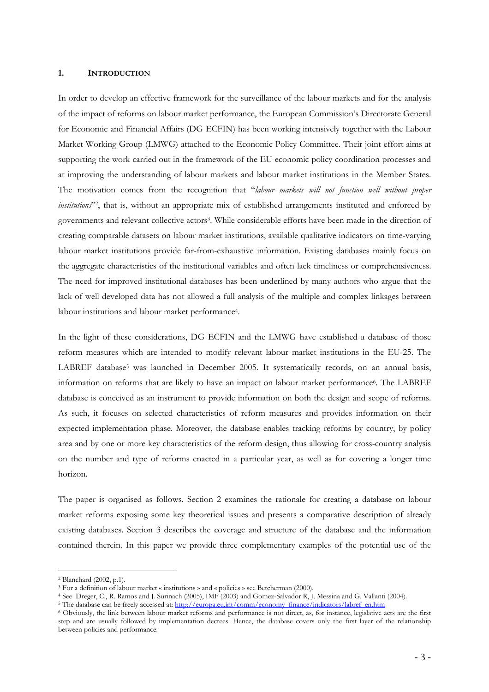#### <span id="page-2-0"></span>**1. INTRODUCTION**

In order to develop an effective framework for the surveillance of the labour markets and for the analysis of the impact of reforms on labour market performance, the European Commission's Directorate General for Economic and Financial Affairs (DG ECFIN) has been working intensively together with the Labour Market Working Group (LMWG) attached to the Economic Policy Committee. Their joint effort aims at supporting the work carried out in the framework of the EU economic policy coordination processes and at improving the understanding of labour markets and labour market institutions in the Member States. The motivation comes from the recognition that "*labour markets will not function well without proper institutions*"2, that is, without an appropriate mix of established arrangements instituted and enforced by governments and relevant collective actors3. While considerable efforts have been made in the direction of creating comparable datasets on labour market institutions, available qualitative indicators on time-varying labour market institutions provide far-from-exhaustive information. Existing databases mainly focus on the aggregate characteristics of the institutional variables and often lack timeliness or comprehensiveness. The need for improved institutional databases has been underlined by many authors who argue that the lack of well developed data has not allowed a full analysis of the multiple and complex linkages between labour institutions and labour market performance4.

In the light of these considerations, DG ECFIN and the LMWG have established a database of those reform measures which are intended to modify relevant labour market institutions in the EU-25. The LABREF database<sup>5</sup> was launched in December 2005. It systematically records, on an annual basis, information on reforms that are likely to have an impact on labour market performance<sup>6</sup>. The LABREF database is conceived as an instrument to provide information on both the design and scope of reforms. As such, it focuses on selected characteristics of reform measures and provides information on their expected implementation phase. Moreover, the database enables tracking reforms by country, by policy area and by one or more key characteristics of the reform design, thus allowing for cross-country analysis on the number and type of reforms enacted in a particular year, as well as for covering a longer time horizon.

The paper is organised as follows. Section 2 examines the rationale for creating a database on labour market reforms exposing some key theoretical issues and presents a comparative description of already existing databases. Section 3 describes the coverage and structure of the database and the information contained therein. In this paper we provide three complementary examples of the potential use of the

<sup>&</sup>lt;sup>2</sup> Blanchard (2002, p.1).<br><sup>3</sup> For a definition of labour market « institutions » and « policies » see Betcherman (2000).

<sup>&</sup>lt;sup>4</sup> See Dreger, C., R. Ramos and J. Surin[ach \(2005\), IMF \(2003\) and Gomez-Salvador R, J. Messina and G. Vallanti \(](http://europa.eu.int/comm/economy_finance/indicators/labref_en.htm)2004).<br><sup>5</sup> The database can be freely accessed at: http://europa.eu.int/comm/economy\_finance/indicators/labr

<sup>6</sup> Obviously, the link between labour market reforms and performance is not direct, as, for instance, legislative acts are the first step and are usually followed by implementation decrees. Hence, the database covers only the first layer of the relationship between policies and performance.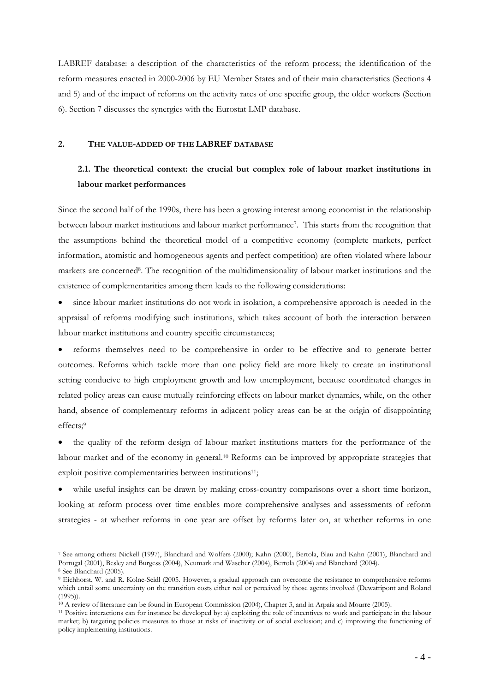LABREF database: a description of the characteristics of the reform process; the identification of the reform measures enacted in 2000-2006 by EU Member States and of their main characteristics (Sections 4 and 5) and of the impact of reforms on the activity rates of one specific group, the older workers (Section 6). Section 7 discusses the synergies with the Eurostat LMP database.

#### <span id="page-3-1"></span><span id="page-3-0"></span>**2. THE VALUE-ADDED OF THE LABREF DATABASE**

# **2.1. The theoretical context: the crucial but complex role of labour market institutions in labour market performances**

Since the second half of the 1990s, there has been a growing interest among economist in the relationship between labour market institutions and labour market performance7. This starts from the recognition that the assumptions behind the theoretical model of a competitive economy (complete markets, perfect information, atomistic and homogeneous agents and perfect competition) are often violated where labour markets are concerned8. The recognition of the multidimensionality of labour market institutions and the existence of complementarities among them leads to the following considerations:

• since labour market institutions do not work in isolation, a comprehensive approach is needed in the appraisal of reforms modifying such institutions, which takes account of both the interaction between labour market institutions and country specific circumstances;

• reforms themselves need to be comprehensive in order to be effective and to generate better outcomes. Reforms which tackle more than one policy field are more likely to create an institutional setting conducive to high employment growth and low unemployment, because coordinated changes in related policy areas can cause mutually reinforcing effects on labour market dynamics, while, on the other hand, absence of complementary reforms in adjacent policy areas can be at the origin of disappointing effects;9

• the quality of the reform design of labour market institutions matters for the performance of the labour market and of the economy in general.<sup>10</sup> Reforms can be improved by appropriate strategies that exploit positive complementarities between institutions<sup>11</sup>;

while useful insights can be drawn by making cross-country comparisons over a short time horizon, looking at reform process over time enables more comprehensive analyses and assessments of reform strategies - at whether reforms in one year are offset by reforms later on, at whether reforms in one

<sup>7</sup> See among others: Nickell (1997), Blanchard and Wolfers (2000); Kahn (2000), Bertola, Blau and Kahn (2001), Blanchard and Portugal (2001), Besley and Burgess (2004), Neumark and Wascher (2004), Bertola (2004) and Blanchard (2004). 8 See Blanchard (2005).

<sup>9</sup> Eichhorst, W. and R. Kolne-Seidl (2005. However, a gradual approach can overcome the resistance to comprehensive reforms which entail some uncertainty on the transition costs either real or perceived by those agents involved (Dewatripont and Roland (1995)).

 $10$  A review of literature can be found in European Commission (2004), Chapter 3, and in Arpaia and Mourre (2005).<br><sup>11</sup> Positive interactions can for instance be developed by: a) exploiting the role of incentives to work

market; b) targeting policies measures to those at risks of inactivity or of social exclusion; and c) improving the functioning of policy implementing institutions.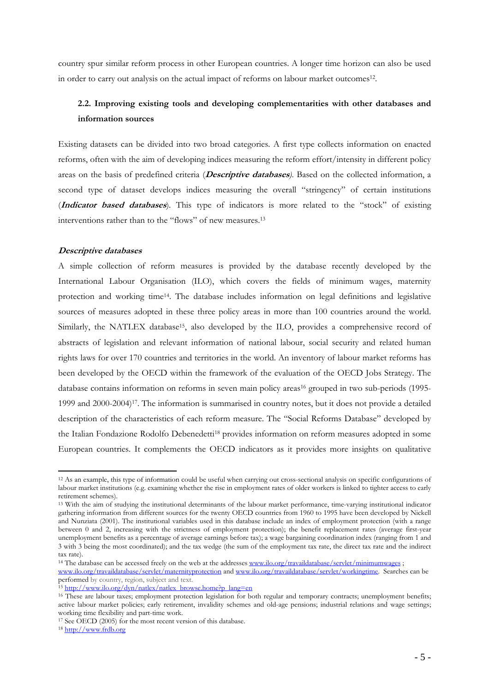<span id="page-4-0"></span>country spur similar reform process in other European countries. A longer time horizon can also be used in order to carry out analysis on the actual impact of reforms on labour market outcomes12.

# **2.2. Improving existing tools and developing complementarities with other databases and information sources**

Existing datasets can be divided into two broad categories. A first type collects information on enacted reforms, often with the aim of developing indices measuring the reform effort/intensity in different policy areas on the basis of predefined criteria (**Descriptive databases***)*. Based on the collected information, a second type of dataset develops indices measuring the overall "stringency" of certain institutions (**Indicator based databases**). This type of indicators is more related to the "stock" of existing interventions rather than to the "flows" of new measures.13

## **Descriptive databases**

A simple collection of reform measures is provided by the database recently developed by the International Labour Organisation (ILO), which covers the fields of minimum wages, maternity protection and working time14. The database includes information on legal definitions and legislative sources of measures adopted in these three policy areas in more than 100 countries around the world. Similarly, the NATLEX database<sup>15</sup>, also developed by the ILO, provides a comprehensive record of abstracts of legislation and relevant information of national labour, social security and related human rights laws for over 170 countries and territories in the world. An inventory of labour market reforms has been developed by the OECD within the framework of the evaluation of the OECD Jobs Strategy. The database contains information on reforms in seven main policy areas<sup>16</sup> grouped in two sub-periods (1995-1999 and 2000-2004)17. The information is summarised in country notes, but it does not provide a detailed description of the characteristics of each reform measure. The "Social Reforms Database" developed by the Italian Fondazione Rodolfo Debenedetti18 provides information on reform measures adopted in some European countries. It complements the OECD indicators as it provides more insights on qualitative

<sup>12</sup> As an example, this type of information could be useful when carrying out cross-sectional analysis on specific configurations of labour market institutions (e.g. examining whether the rise in employment rates of older workers is linked to tighter access to early retirement schemes). 13 With the aim of studying the institutional determinants of the labour market performance, time-varying institutional indicator

gathering information from different sources for the twenty OECD countries from 1960 to 1995 have been developed by Nickell and Nunziata (2001). The institutional variables used in this database include an index of employment protection (with a range between 0 and 2, increasing with the strictness of employment protection); the benefit replacement rates (average first-year unemployment benefits as a percentage of average earnings before tax); a wage bargaining coordination index (ranging from 1 and 3 with 3 being the most coordinated); and the tax wedge (the sum of the employment tax rate, the direct tax rate and the indirect tax rate).

<sup>&</sup>lt;sup>14</sup> The database can be accessed freely on the web at the addresse[s www.ilo.org/travaildatabase/servlet/minimumwages ;](http://www.ilo.org/travaildatabase/servlet/minimumwages) [www.ilo.org/travaildatabase/servlet/maternityprotection a](http://www.ilo.org/travaildatabase/servlet/maternityprotection)n[d www.ilo.org/travaildatabase/servlet/workingtime.](http://www.ilo.org/travaildatabase/servlet/workingtime) Searches can be performed by country, region, subject and text.

<sup>15</sup> [http://www.ilo.org/dyn/natlex/natlex\\_browse.home?p\\_lang=en](http://www.ilo.org/dyn/natlex/natlex_browse.home?p_lang=en)

<sup>&</sup>lt;sup>16</sup> These are labour taxes; employment protection legislation for both regular and temporary contracts; unemployment benefits; active labour market policies; early retirement, invalidity schemes and old-age pensions; industrial relations and wage settings; working time flexibility and part-time work.

<sup>17</sup> [See OECD \(2005\) for](http://www.frdb.org/) the most recent version of this database. [18](http://www.frdb.org/) [http://www.frdb.org](http://www.frdb.org/)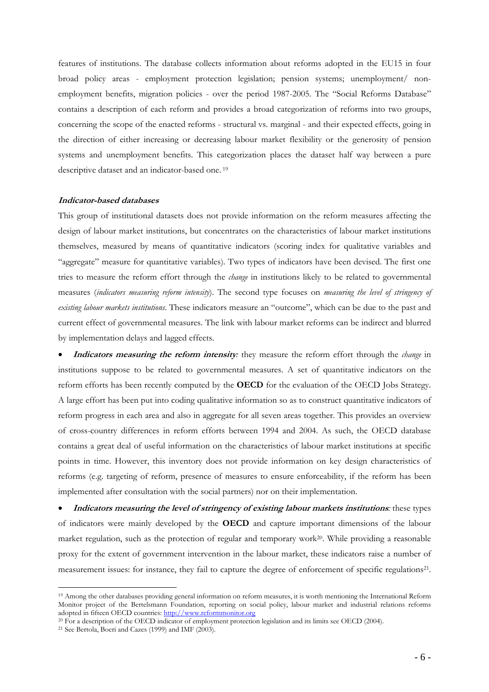features of institutions. The database collects information about reforms adopted in the EU15 in four broad policy areas - employment protection legislation; pension systems; unemployment/ nonemployment benefits, migration policies - over the period 1987-2005. The "Social Reforms Database" contains a description of each reform and provides a broad categorization of reforms into two groups, concerning the scope of the enacted reforms - structural vs. marginal - and their expected effects, going in the direction of either increasing or decreasing labour market flexibility or the generosity of pension systems and unemployment benefits. This categorization places the dataset half way between a pure descriptive dataset and an indicator-based one. 19

#### **Indicator-based databases**

This group of institutional datasets does not provide information on the reform measures affecting the design of labour market institutions, but concentrates on the characteristics of labour market institutions themselves, measured by means of quantitative indicators (scoring index for qualitative variables and "aggregate" measure for quantitative variables). Two types of indicators have been devised. The first one tries to measure the reform effort through the *change* in institutions likely to be related to governmental measures (*indicators measuring reform intensity*). The second type focuses on *measuring the level of stringency of existing labour markets institutions*. These indicators measure an "outcome", which can be due to the past and current effect of governmental measures. The link with labour market reforms can be indirect and blurred by implementation delays and lagged effects.

• **Indicators measuring the reform intensity***:* they measure the reform effort through the *change* in institutions suppose to be related to governmental measures. A set of quantitative indicators on the reform efforts has been recently computed by the **OECD** for the evaluation of the OECD Jobs Strategy. A large effort has been put into coding qualitative information so as to construct quantitative indicators of reform progress in each area and also in aggregate for all seven areas together. This provides an overview of cross-country differences in reform efforts between 1994 and 2004. As such, the OECD database contains a great deal of useful information on the characteristics of labour market institutions at specific points in time. However, this inventory does not provide information on key design characteristics of reforms (e.g. targeting of reform, presence of measures to ensure enforceability, if the reform has been implemented after consultation with the social partners) nor on their implementation.

• **Indicators measuring the level of stringency of existing labour markets institutions***:* these types of indicators were mainly developed by the **OECD** and capture important dimensions of the labour market regulation, such as the protection of regular and temporary work20. While providing a reasonable proxy for the extent of government intervention in the labour market, these indicators raise a number of measurement issues: for instance, they fail to capture the degree of enforcement of specific regulations21.

<sup>19</sup> Among the other databases providing general information on reform measures, it is worth mentioning the International Reform Monitor project of the Bertelsmann Foundation, reporting on social policy, labour market and industrial relations reforms adopted in fifteen OECD countries: [http://www.reformmonitor.org](http://www.frdb.org/)

<sup>&</sup>lt;sup>20</sup> For a description of the OECD indicator of employment protection legislation and its limits see OECD (2004).<br><sup>21</sup> See Bertola, Boeri and Cazes (1999) and IMF (2003).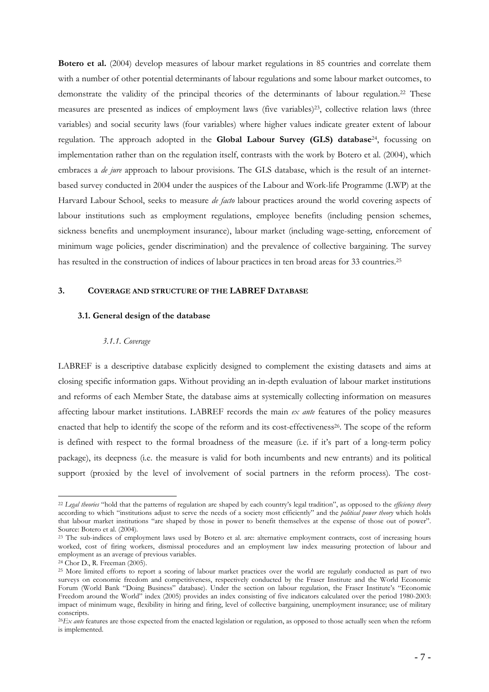**Botero et al.** (2004) develop measures of labour market regulations in 85 countries and correlate them with a number of other potential determinants of labour regulations and some labour market outcomes, to demonstrate the validity of the principal theories of the determinants of labour regulation.<sup>22</sup> These measures are presented as indices of employment laws (five variables)23, collective relation laws (three variables) and social security laws (four variables) where higher values indicate greater extent of labour regulation. The approach adopted in the **Global Labour Survey (GLS) database**24, focussing on implementation rather than on the regulation itself, contrasts with the work by Botero et al. (2004), which embraces a *de jure* approach to labour provisions. The GLS database, which is the result of an internetbased survey conducted in 2004 under the auspices of the Labour and Work-life Programme (LWP) at the Harvard Labour School, seeks to measure *de facto* labour practices around the world covering aspects of labour institutions such as employment regulations, employee benefits (including pension schemes, sickness benefits and unemployment insurance), labour market (including wage-setting, enforcement of minimum wage policies, gender discrimination) and the prevalence of collective bargaining. The survey has resulted in the construction of indices of labour practices in ten broad areas for 33 countries.<sup>25</sup>

## <span id="page-6-1"></span><span id="page-6-0"></span>**3. COVERAGE AND STRUCTURE OF THE LABREF DATABASE**

#### **3.1. General design of the database**

#### *3.1.1. Coverage*

<span id="page-6-2"></span>LABREF is a descriptive database explicitly designed to complement the existing datasets and aims at closing specific information gaps. Without providing an in-depth evaluation of labour market institutions and reforms of each Member State, the database aims at systemically collecting information on measures affecting labour market institutions. LABREF records the main *ex ante* features of the policy measures enacted that help to identify the scope of the reform and its cost-effectiveness<sup>26</sup>. The scope of the reform is defined with respect to the formal broadness of the measure (i.e. if it's part of a long-term policy package), its deepness (i.e. the measure is valid for both incumbents and new entrants) and its political support (proxied by the level of involvement of social partners in the reform process). The cost-

<sup>22</sup> *Legal theories* "hold that the patterns of regulation are shaped by each country's legal tradition", as opposed to the *efficiency theory* according to which "institutions adjust to serve the needs of a society most efficiently" and the *political power theory* which holds that labour market institutions "are shaped by those in power to benefit themselves at the expense of those out of power". Source: Botero et al. (2004).

<sup>&</sup>lt;sup>23</sup> The sub-indices of employment laws used by Botero et al. are: alternative employment contracts, cost of increasing hours worked, cost of firing workers, dismissal procedures and an employment law index measuring protection of labour and employment as an average of previous variables.

<sup>24</sup> Chor D., R. Freeman (2005).

<sup>25</sup> More limited efforts to report a scoring of labour market practices over the world are regularly conducted as part of two surveys on economic freedom and competitiveness, respectively conducted by the Fraser Institute and the World Economic Forum (World Bank "Doing Business" database). Under the section on labour regulation, the Fraser Institute's "Economic Freedom around the World" index (2005) provides an index consisting of five indicators calculated over the period 1980-2003: impact of minimum wage, flexibility in hiring and firing, level of collective bargaining, unemployment insurance; use of military conscripts.

<sup>26</sup>*Ex ante* features are those expected from the enacted legislation or regulation, as opposed to those actually seen when the reform is implemented.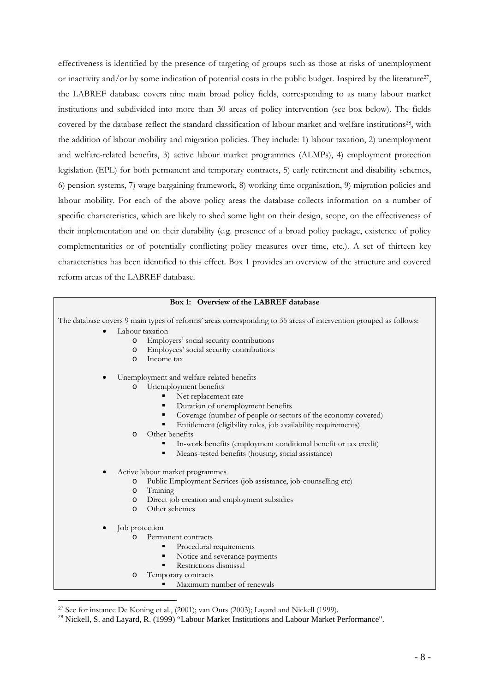effectiveness is identified by the presence of targeting of groups such as those at risks of unemployment or inactivity and/or by some indication of potential costs in the public budget. Inspired by the literature<sup>27</sup>, the LABREF database covers nine main broad policy fields, corresponding to as many labour market institutions and subdivided into more than 30 areas of policy intervention (see box below). The fields covered by the database reflect the standard classification of labour market and welfare institutions28, with the addition of labour mobility and migration policies. They include: 1) labour taxation, 2) unemployment and welfare-related benefits, 3) active labour market programmes (ALMPs), 4) employment protection legislation (EPL) for both permanent and temporary contracts, 5) early retirement and disability schemes, 6) pension systems, 7) wage bargaining framework, 8) working time organisation, 9) migration policies and labour mobility. For each of the above policy areas the database collects information on a number of specific characteristics, which are likely to shed some light on their design, scope, on the effectiveness of their implementation and on their durability (e.g. presence of a broad policy package, existence of policy complementarities or of potentially conflicting policy measures over time, etc.). A set of thirteen key characteristics has been identified to this effect. Box 1 provides an overview of the structure and covered reform areas of the LABREF database.

# **Box 1: Overview of the LABREF database**

<span id="page-7-0"></span>The database covers 9 main types of reforms' areas corresponding to 35 areas of intervention grouped as follows:

- Labour taxation
	- o Employers' social security contributions
	- o Employees' social security contributions
	- o Income tax
- Unemployment and welfare related benefits
	- o Unemployment benefits
		- Net replacement rate
		- Duration of unemployment benefits
		- Coverage (number of people or sectors of the economy covered)
		- Entitlement (eligibility rules, job availability requirements)
	- o Other benefits
		- In-work benefits (employment conditional benefit or tax credit)
		- Means-tested benefits (housing, social assistance)
- Active labour market programmes<br>
o Public Employment Servi
	- Public Employment Services (job assistance, job-counselling etc)
	- o Training
	- o Direct job creation and employment subsidies
	- o Other schemes
- Job protection

- o Permanent contracts
	- Procedural requirements
		- Notice and severance payments
	- Restrictions dismissal
- o Temporary contracts
	- Maximum number of renewals

<sup>27</sup> See for instance De Koning et al., (2001); van Ours (2003); Layard and Nickell (1999).

<sup>&</sup>lt;sup>28</sup> Nickell, S. and Layard, R. (1999) "Labour Market Institutions and Labour Market Performance".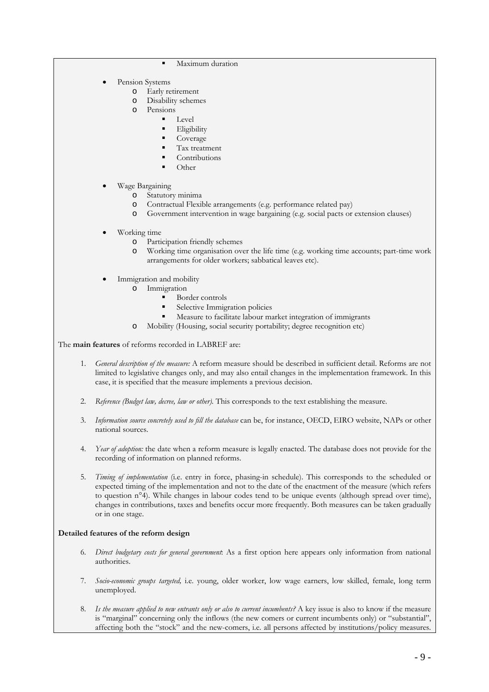- Maximum duration
- Pension Systems
	- o Early retirement
	- o Disability schemes
	- o Pensions
		- Level
			- Eligibility
			- Coverage
			- Tax treatment
			- Contributions
			- Other
- Wage Bargaining
	- o Statutory minima
	- o Contractual Flexible arrangements (e.g. performance related pay)
	- o Government intervention in wage bargaining (e.g. social pacts or extension clauses)
- Working time
	- o Participation friendly schemes
	- o Working time organisation over the life time (e.g. working time accounts; part-time work arrangements for older workers; sabbatical leaves etc).
- Immigration and mobility
	- o Immigration
		- Border controls
		- Selective Immigration policies
		- Measure to facilitate labour market integration of immigrants
	- o Mobility (Housing, social security portability; degree recognition etc)

The **main features** of reforms recorded in LABREF are:

- 1. *General description of the measure:* A reform measure should be described in sufficient detail. Reforms are not limited to legislative changes only, and may also entail changes in the implementation framework. In this case, it is specified that the measure implements a previous decision.
- 2. *Reference (Budget law, decree, law or other).* This corresponds to the text establishing the measure.
- 3. *Information source concretely used to fill the database* can be, for instance, OECD, EIRO website, NAPs or other national sources.
- 4. *Year of adoption:* the date when a reform measure is legally enacted. The database does not provide for the recording of information on planned reforms.
- 5. *Timing of implementation* (i.e. entry in force, phasing-in schedule). This corresponds to the scheduled or expected timing of the implementation and not to the date of the enactment of the measure (which refers to question n°4). While changes in labour codes tend to be unique events (although spread over time), changes in contributions, taxes and benefits occur more frequently. Both measures can be taken gradually or in one stage.

#### **Detailed features of the reform design**

- 6. *Direct budgetary costs for general government*: As a first option here appears only information from national authorities.
- 7. *Socio-economic groups targeted,* i.e. young, older worker, low wage earners, low skilled, female, long term unemployed.
- 8. *Is the measure applied to new entrants only or also to current incumbents?* A key issue is also to know if the measure is "marginal" concerning only the inflows (the new comers or current incumbents only) or "substantial", affecting both the "stock" and the new-comers, i.e. all persons affected by institutions/policy measures.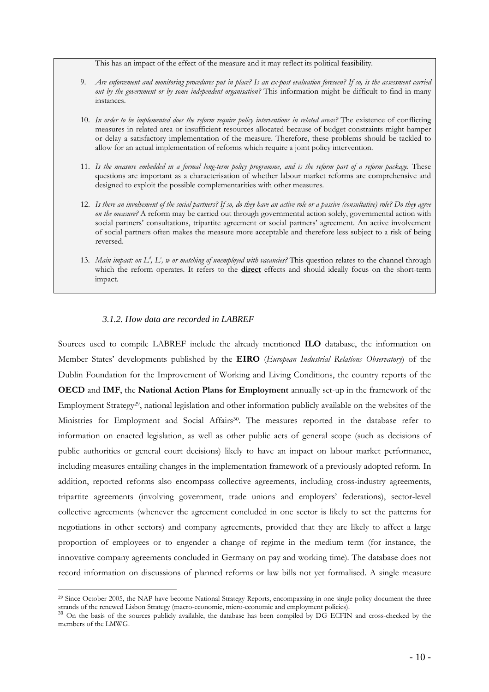This has an impact of the effect of the measure and it may reflect its political feasibility.

- 9. *Are enforcement and monitoring procedures put in place? Is an ex-post evaluation foreseen? If so, is the assessment carried out by the government or by some independent organisation?* This information might be difficult to find in many instances.
- 10. *In order to be implemented does the reform require policy interventions in related areas?* The existence of conflicting measures in related area or insufficient resources allocated because of budget constraints might hamper or delay a satisfactory implementation of the measure. Therefore, these problems should be tackled to allow for an actual implementation of reforms which require a joint policy intervention.
- 11. *Is the measure embedded in a formal long-term policy programme, and is the reform part of a reform package.* These questions are important as a characterisation of whether labour market reforms are comprehensive and designed to exploit the possible complementarities with other measures.
- 12. *Is there an involvement of the social partners? If so, do they have an active role or a passive (consultative) role? Do they agree on the measure?* A reform may be carried out through governmental action solely, governmental action with social partners' consultations, tripartite agreement or social partners' agreement. An active involvement of social partners often makes the measure more acceptable and therefore less subject to a risk of being reversed.
- 13. Main impact: on L<sup>d</sup>, L<sup>s</sup>, w or matching of unemployed with vacancies? This question relates to the channel through which the reform operates. It refers to the **direct** effects and should ideally focus on the short-term impact.

# *3.1.2. How data are recorded in LABREF*

1

<span id="page-9-0"></span>Sources used to compile LABREF include the already mentioned **ILO** database, the information on Member States' developments published by the **EIRO** (*European Industrial Relations Observatory*) of the Dublin Foundation for the Improvement of Working and Living Conditions, the country reports of the **OECD** and **IMF**, the **National Action Plans for Employment** annually set-up in the framework of the Employment Strategy<sup>29</sup>, national legislation and other information publicly available on the websites of the Ministries for Employment and Social Affairs30. The measures reported in the database refer to information on enacted legislation, as well as other public acts of general scope (such as decisions of public authorities or general court decisions) likely to have an impact on labour market performance, including measures entailing changes in the implementation framework of a previously adopted reform. In addition, reported reforms also encompass collective agreements, including cross-industry agreements, tripartite agreements (involving government, trade unions and employers' federations), sector-level collective agreements (whenever the agreement concluded in one sector is likely to set the patterns for negotiations in other sectors) and company agreements, provided that they are likely to affect a large proportion of employees or to engender a change of regime in the medium term (for instance, the innovative company agreements concluded in Germany on pay and working time)*.* The database does not record information on discussions of planned reforms or law bills not yet formalised. A single measure

<sup>29</sup> Since October 2005, the NAP have become National Strategy Reports, encompassing in one single policy document the three strands of the renewed Lisbon Strategy (macro-economic, micro-economic and employment policies).

<sup>&</sup>lt;sup>30</sup> On the basis of the sources publicly available, the database has been compiled by DG ECFIN and cross-checked by the members of the LMWG.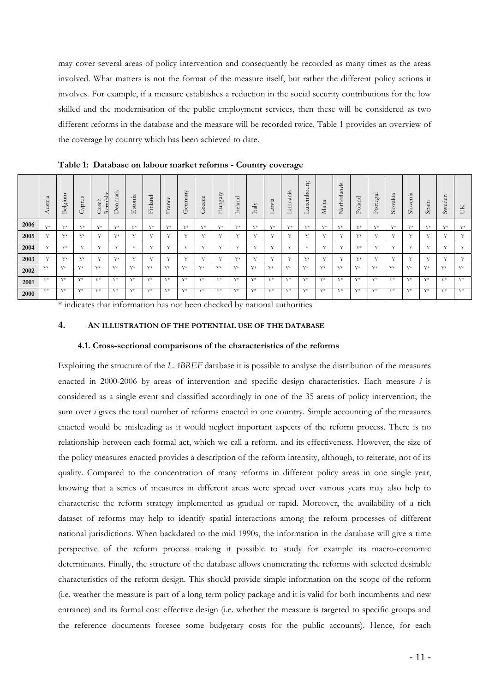may cover several areas of policy intervention and consequently be recorded as many times as the areas involved. What matters is not the format of the measure itself, but rather the different policy actions it involves. For example, if a measure establishes a reduction in the social security contributions for the low skilled and the modernisation of the public employment services, then these will be considered as two different reforms in the database and the measure will be recorded twice. Table 1 provides an overview of the coverage by country which has been achieved to date.

|      | Austria      | Ε<br>∍<br>elgi<br>Ă | Cyprus       | ٠ï<br>Czech<br>Ē<br>$\simeq$ | enmark<br>△  | Estonia      | Finland      | $\circ$<br>ranc<br>匞 | any<br>erm<br>$-+$ | ω<br>reec<br>ن  | Hungary      | reland<br>⊢  | $\ensuremath{\mathrm{taly}}$<br>⊢ | ≂<br>atvi<br>− | ithuania<br>⊣   | urg<br>ō<br>$\Delta$<br>Ε<br>$\omega$<br><b>XIL</b><br>− | Malta        | $\infty$<br>ъ<br>₽<br>erla<br>Veth<br>$\leftarrow$ | ਹ<br>Polano | $_{\rm gal}$<br>tu.<br>$P_{\rm O}$ | akia<br>Slov | enia<br>Slov | Spain        | eden<br>$S_{W}$ | ÜК    |
|------|--------------|---------------------|--------------|------------------------------|--------------|--------------|--------------|----------------------|--------------------|-----------------|--------------|--------------|-----------------------------------|----------------|-----------------|----------------------------------------------------------|--------------|----------------------------------------------------|-------------|------------------------------------|--------------|--------------|--------------|-----------------|-------|
| 2006 | $V*$         | V*                  | $V*$         | V*                           | $Y^*$        | $V*$         | $V^*$        | $V^*$                | V*                 | V*              | V*           | Y*           | V*                                | $V^*$          | $V*$            | V*                                                       | $V*$         | V*                                                 | V*          | $V*$                               | $V^*$        | $V*$         | $V^*$        | V*              | $Y^*$ |
| 2005 | $\mathbf{v}$ | $V*$                | $V*$         |                              | $Y^*$        | $\mathbf{v}$ | $\mathbf{v}$ | $\sim$               | $\mathbf{v}$       | $\cdot$ $\cdot$ | $\mathbf{v}$ | Y            | $\mathbf{v}$                      | $\mathbf{v}$   | $\cdot$ $\cdot$ | x.                                                       |              | $\mathbf{v}$                                       | $Y^*$       | $\mathbf{v}$                       | $\mathbf{v}$ | $\mathbf{v}$ | 37           | $\sim$          | Y     |
| 2004 | $\mathbf{v}$ | V*                  | $\mathbf{v}$ | ٠.                           | $\mathbf{v}$ | $\mathbf{v}$ | $\mathbf{v}$ | $\mathbf{v}$         | $\mathbf{v}$       | $\mathbf{v}$    | $\mathbf{v}$ | $\mathbf{v}$ | $\mathbf{v}$                      | $\mathbf{v}$   | $\mathbf{v}$    | $\mathbf{v}$                                             | $\mathbf{v}$ | $\mathbf{v}$                                       | $Y^*$       | $\mathbf{v}$                       | $\mathbf{v}$ | $\mathbf{v}$ | $\mathbf{v}$ | $\mathbf{v}$    | Y     |
| 2003 | 37           | V*                  | $V*$         | $\mathbf{v}$                 | $Y^*$        | $\mathbf{v}$ | $\mathbf{v}$ | $\mathbf{v}$         | $\mathbf{v}$       | $\mathbf{v}$    | $\mathbf{v}$ | $Y^*$        | $\mathbf{v}$                      | $\mathbf{v}$   | $\mathbf{v}$    | $V*$                                                     | $\mathbf{v}$ | $\mathbf{v}$                                       | $Y^*$       | $\mathbf{v}$                       | $\mathbf{v}$ | $\mathbf{v}$ | $\mathbf{v}$ | $\mathbf{v}$    | Y     |
| 2002 | $V*$         | $Y^*$               | $V*$         | V*                           | $V^*$        | $V^*$        | $V^*$        | $V*$                 | $V*$               | $V*$            | $V*$         | $V^*$        | $V^*$                             | $V^*$          | $V*$            | $V^*$                                                    | V*           | $V*$                                               | $V*$        | $V^*$                              | $V^*$        | $V*$         | $V^*$        | V*              | V*    |
| 2001 | $V*$         | $V^*$               | $V^*$        | Y*                           | Y*           | $Y^*$        | $V^*$        | $\nabla^*$           | $Y^*$              | $Y^*$           | $V^*$        | Y*           | $Y^*$                             | $V^*$          | $V*$            | $V^*$                                                    | $Y^*$        | $V*$                                               | $Y^*$       | $Y^*$                              | $V^*$        | $V*$         | $V^*$        | $Y^*$           | V*    |
| 2000 | $Y^*$        | $V^*$               | $V^*$        | V*                           | $V^*$        | $V^*$        | $V^*$        | $V^*$                | $V^*$              | $V^*$           | $V*$         | $V^*$        | $V^*$                             | $V^*$          | V*              | $V^*$                                                    | $V^*$        | V*                                                 | $V*$        | $V^*$                              | $V^*$        | $V*$         | $V^*$        | $Y^*$           | V*    |

**Table 1: Database on labour market reforms - Country coverage** 

\* indicates that information has not been checked by national authorities

## <span id="page-10-1"></span><span id="page-10-0"></span>**4. AN ILLUSTRATION OF THE POTENTIAL USE OF THE DATABASE**

#### **4.1. Cross-sectional comparisons of the characteristics of the reforms**

Exploiting the structure of the *LABREF* database it is possible to analyse the distribution of the measures enacted in 2000-2006 by areas of intervention and specific design characteristics. Each measure *i* is considered as a single event and classified accordingly in one of the 35 areas of policy intervention; the sum over *i* gives the total number of reforms enacted in one country. Simple accounting of the measures enacted would be misleading as it would neglect important aspects of the reform process. There is no relationship between each formal act, which we call a reform, and its effectiveness. However, the size of the policy measures enacted provides a description of the reform intensity, although, to reiterate, not of its quality. Compared to the concentration of many reforms in different policy areas in one single year, knowing that a series of measures in different areas were spread over various years may also help to characterise the reform strategy implemented as gradual or rapid. Moreover, the availability of a rich dataset of reforms may help to identify spatial interactions among the reform processes of different national jurisdictions. When backdated to the mid 1990s, the information in the database will give a time perspective of the reform process making it possible to study for example its macro-economic determinants. Finally, the structure of the database allows enumerating the reforms with selected desirable characteristics of the reform design. This should provide simple information on the scope of the reform (i.e. weather the measure is part of a long term policy package and it is valid for both incumbents and new entrance) and its formal cost effective design (i.e. whether the measure is targeted to specific groups and the reference documents foresee some budgetary costs for the public accounts). Hence, for each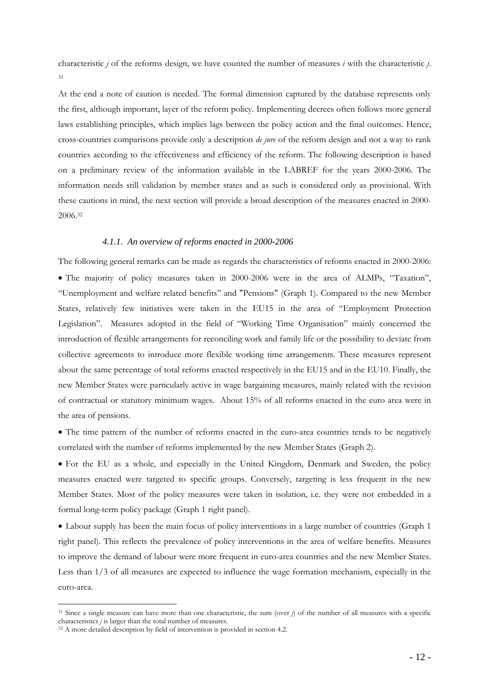characteristic *j* of the reforms design, we have counted the number of measures *i* with the characteristic *j*. 31

At the end a note of caution is needed. The formal dimension captured by the database represents only the first, although important, layer of the reform policy. Implementing decrees often follows more general laws establishing principles, which implies lags between the policy action and the final outcomes. Hence, cross-countries comparisons provide only a description *de jure* of the reform design and not a way to rank countries according to the effectiveness and efficiency of the reform. The following description is based on a preliminary review of the information available in the LABREF for the years 2000-2006. The information needs still validation by member states and as such is considered only as provisional. With these cautions in mind, the next section will provide a broad description of the measures enacted in 2000- 2006.32

#### *4.1.1. An overview of reforms enacted in 2000-2006*

<span id="page-11-0"></span>The following general remarks can be made as regards the characteristics of reforms enacted in 2000-2006: • The majority of policy measures taken in 2000-2006 were in the area of ALMPs, "Taxation", "Unemployment and welfare related benefits" and "Pensions" (Graph 1). Compared to the new Member States, relatively few initiatives were taken in the EU15 in the area of "Employment Protection Legislation". Measures adopted in the field of "Working Time Organisation" mainly concerned the introduction of flexible arrangements for reconciling work and family life or the possibility to deviate from collective agreements to introduce more flexible working time arrangements. These measures represent about the same percentage of total reforms enacted respectively in the EU15 and in the EU10. Finally, the new Member States were particularly active in wage bargaining measures, mainly related with the revision of contractual or statutory minimum wages. About 15% of all reforms enacted in the euro area were in the area of pensions.

• The time pattern of the number of reforms enacted in the euro-area countries tends to be negatively correlated with the number of reforms implemented by the new Member States (Graph 2).

• For the EU as a whole, and especially in the United Kingdom, Denmark and Sweden, the policy measures enacted were targeted to specific groups. Conversely, targeting is less frequent in the new Member States. Most of the policy measures were taken in isolation, i.e. they were not embedded in a formal long-term policy package (Graph 1 right panel).

• Labour supply has been the main focus of policy interventions in a large number of countries (Graph 1 right panel). This reflects the prevalence of policy interventions in the area of welfare benefits. Measures to improve the demand of labour were more frequent in euro-area countries and the new Member States. Less than 1/3 of all measures are expected to influence the wage formation mechanism, especially in the euro-area.

<sup>31</sup> Since a single measure can have more than one characteristic, the sum (over *j*) of the number of all measures with a specific characteristics *j* is larger than the total number of measures. 32 A more detailed description by field of intervention is provided in section 4.2.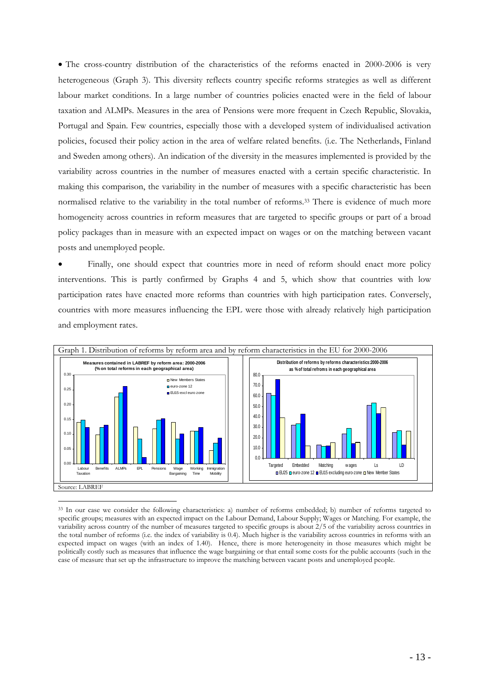• The cross-country distribution of the characteristics of the reforms enacted in 2000-2006 is very heterogeneous (Graph 3). This diversity reflects country specific reforms strategies as well as different labour market conditions. In a large number of countries policies enacted were in the field of labour taxation and ALMPs. Measures in the area of Pensions were more frequent in Czech Republic, Slovakia, Portugal and Spain. Few countries, especially those with a developed system of individualised activation policies, focused their policy action in the area of welfare related benefits. (i.e. The Netherlands, Finland and Sweden among others). An indication of the diversity in the measures implemented is provided by the variability across countries in the number of measures enacted with a certain specific characteristic. In making this comparison, the variability in the number of measures with a specific characteristic has been normalised relative to the variability in the total number of reforms.33 There is evidence of much more homogeneity across countries in reform measures that are targeted to specific groups or part of a broad policy packages than in measure with an expected impact on wages or on the matching between vacant posts and unemployed people.

• Finally, one should expect that countries more in need of reform should enact more policy interventions. This is partly confirmed by Graphs 4 and 5, which show that countries with low participation rates have enacted more reforms than countries with high participation rates. Conversely, countries with more measures influencing the EPL were those with already relatively high participation and employment rates.



33 In our case we consider the following characteristics: a) number of reforms embedded; b) number of reforms targeted to specific groups; measures with an expected impact on the Labour Demand, Labour Supply; Wages or Matching. For example, the variability across country of the number of measures targeted to specific groups is about 2/5 of the variability across countries in the total number of reforms (i.e. the index of variability is 0.4). Much higher is the variability across countries in reforms with an expected impact on wages (with an index of 1.40). Hence, there is more heterogeneity in those measures which might be politically costly such as measures that influence the wage bargaining or that entail some costs for the public accounts (such in the case of measure that set up the infrastructure to improve the matching between vacant posts and unemployed people.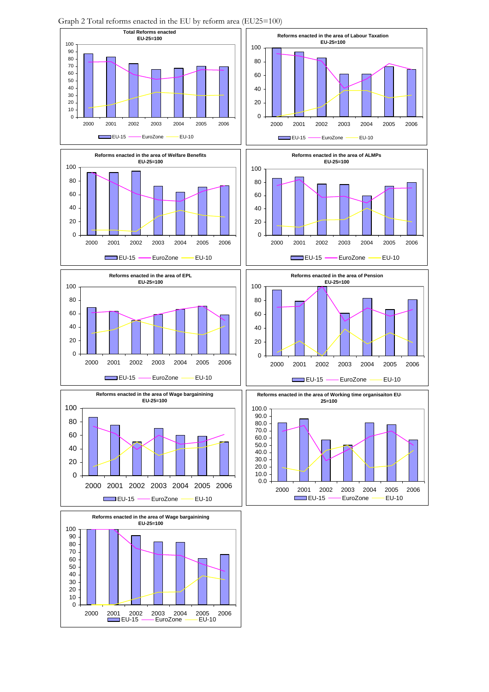

Graph 2 Total reforms enacted in the EU by reform area (EU25=100)

> 2000 2001 2002 2003 2004 2005 2006 EuroZone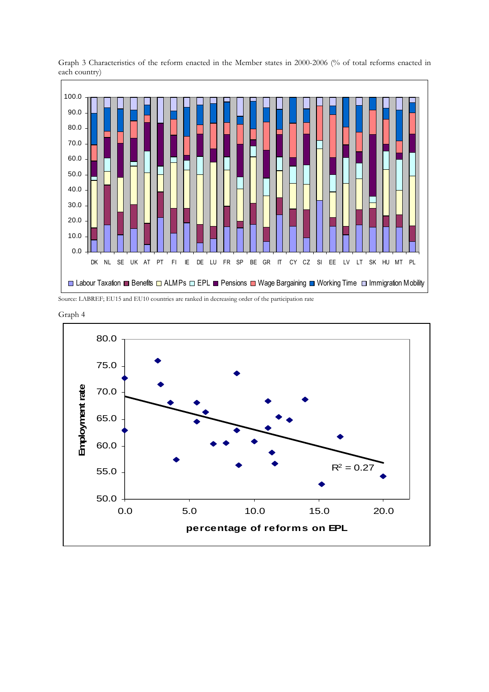

Graph 3 Characteristics of the reform enacted in the Member states in 2000-2006 (% of total reforms enacted in each country)

Source: LABREF; EU15 and EU10 countries are ranked in decreasing order of the participation rate



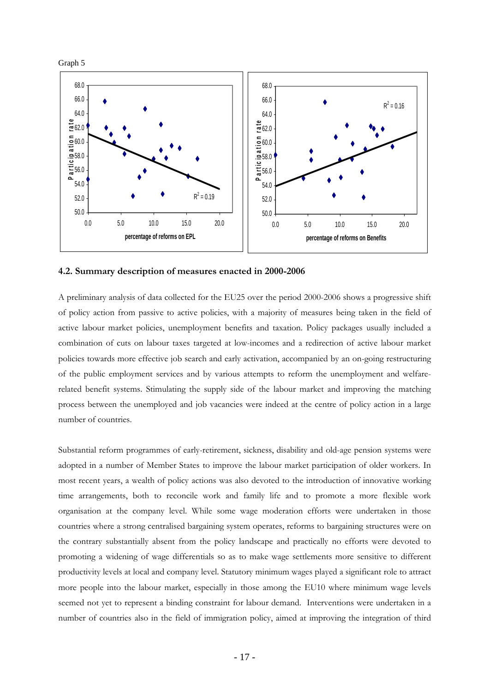

### <span id="page-15-0"></span>**4.2. Summary description of measures enacted in 2000-2006**

A preliminary analysis of data collected for the EU25 over the period 2000-2006 shows a progressive shift of policy action from passive to active policies, with a majority of measures being taken in the field of active labour market policies, unemployment benefits and taxation. Policy packages usually included a combination of cuts on labour taxes targeted at low-incomes and a redirection of active labour market policies towards more effective job search and early activation, accompanied by an on-going restructuring of the public employment services and by various attempts to reform the unemployment and welfarerelated benefit systems. Stimulating the supply side of the labour market and improving the matching process between the unemployed and job vacancies were indeed at the centre of policy action in a large number of countries.

Substantial reform programmes of early-retirement, sickness, disability and old-age pension systems were adopted in a number of Member States to improve the labour market participation of older workers. In most recent years, a wealth of policy actions was also devoted to the introduction of innovative working time arrangements, both to reconcile work and family life and to promote a more flexible work organisation at the company level. While some wage moderation efforts were undertaken in those countries where a strong centralised bargaining system operates, reforms to bargaining structures were on the contrary substantially absent from the policy landscape and practically no efforts were devoted to promoting a widening of wage differentials so as to make wage settlements more sensitive to different productivity levels at local and company level. Statutory minimum wages played a significant role to attract more people into the labour market, especially in those among the EU10 where minimum wage levels seemed not yet to represent a binding constraint for labour demand. Interventions were undertaken in a number of countries also in the field of immigration policy, aimed at improving the integration of third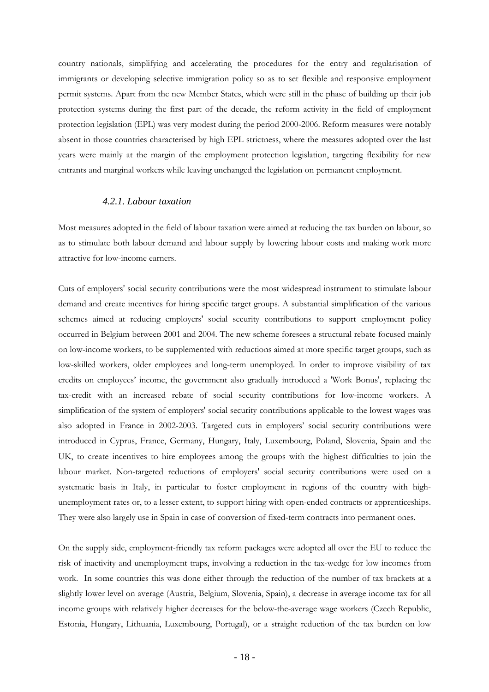country nationals, simplifying and accelerating the procedures for the entry and regularisation of immigrants or developing selective immigration policy so as to set flexible and responsive employment permit systems. Apart from the new Member States, which were still in the phase of building up their job protection systems during the first part of the decade, the reform activity in the field of employment protection legislation (EPL) was very modest during the period 2000-2006. Reform measures were notably absent in those countries characterised by high EPL strictness, where the measures adopted over the last years were mainly at the margin of the employment protection legislation, targeting flexibility for new entrants and marginal workers while leaving unchanged the legislation on permanent employment.

## *4.2.1. Labour taxation*

<span id="page-16-0"></span>Most measures adopted in the field of labour taxation were aimed at reducing the tax burden on labour, so as to stimulate both labour demand and labour supply by lowering labour costs and making work more attractive for low-income earners.

Cuts of employers' social security contributions were the most widespread instrument to stimulate labour demand and create incentives for hiring specific target groups. A substantial simplification of the various schemes aimed at reducing employers' social security contributions to support employment policy occurred in Belgium between 2001 and 2004. The new scheme foresees a structural rebate focused mainly on low-income workers, to be supplemented with reductions aimed at more specific target groups, such as low-skilled workers, older employees and long-term unemployed. In order to improve visibility of tax credits on employees' income, the government also gradually introduced a 'Work Bonus', replacing the tax-credit with an increased rebate of social security contributions for low-income workers. A simplification of the system of employers' social security contributions applicable to the lowest wages was also adopted in France in 2002-2003. Targeted cuts in employers' social security contributions were introduced in Cyprus, France, Germany, Hungary, Italy, Luxembourg, Poland, Slovenia, Spain and the UK, to create incentives to hire employees among the groups with the highest difficulties to join the labour market. Non-targeted reductions of employers' social security contributions were used on a systematic basis in Italy, in particular to foster employment in regions of the country with highunemployment rates or, to a lesser extent, to support hiring with open-ended contracts or apprenticeships. They were also largely use in Spain in case of conversion of fixed-term contracts into permanent ones.

On the supply side, employment-friendly tax reform packages were adopted all over the EU to reduce the risk of inactivity and unemployment traps, involving a reduction in the tax-wedge for low incomes from work. In some countries this was done either through the reduction of the number of tax brackets at a slightly lower level on average (Austria, Belgium, Slovenia, Spain), a decrease in average income tax for all income groups with relatively higher decreases for the below-the-average wage workers (Czech Republic, Estonia, Hungary, Lithuania, Luxembourg, Portugal), or a straight reduction of the tax burden on low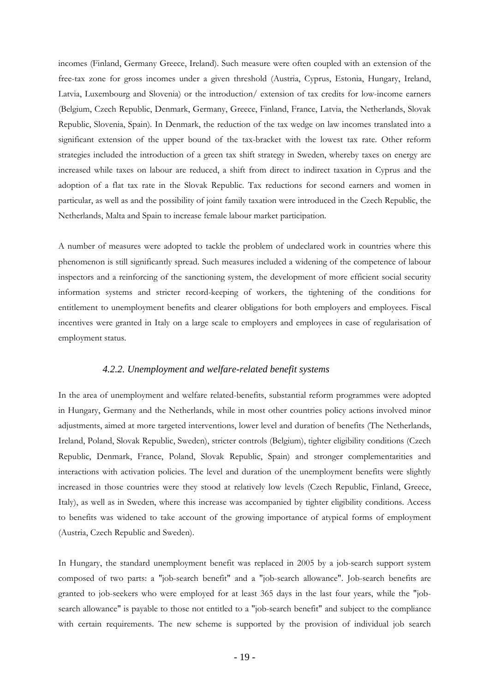incomes (Finland, Germany Greece, Ireland). Such measure were often coupled with an extension of the free-tax zone for gross incomes under a given threshold (Austria, Cyprus, Estonia, Hungary, Ireland, Latvia, Luxembourg and Slovenia) or the introduction/ extension of tax credits for low-income earners (Belgium, Czech Republic, Denmark, Germany, Greece, Finland, France, Latvia, the Netherlands, Slovak Republic, Slovenia, Spain). In Denmark, the reduction of the tax wedge on law incomes translated into a significant extension of the upper bound of the tax-bracket with the lowest tax rate. Other reform strategies included the introduction of a green tax shift strategy in Sweden, whereby taxes on energy are increased while taxes on labour are reduced, a shift from direct to indirect taxation in Cyprus and the adoption of a flat tax rate in the Slovak Republic. Tax reductions for second earners and women in particular, as well as and the possibility of joint family taxation were introduced in the Czech Republic, the Netherlands, Malta and Spain to increase female labour market participation.

A number of measures were adopted to tackle the problem of undeclared work in countries where this phenomenon is still significantly spread. Such measures included a widening of the competence of labour inspectors and a reinforcing of the sanctioning system, the development of more efficient social security information systems and stricter record-keeping of workers, the tightening of the conditions for entitlement to unemployment benefits and clearer obligations for both employers and employees. Fiscal incentives were granted in Italy on a large scale to employers and employees in case of regularisation of employment status.

## *4.2.2. Unemployment and welfare-related benefit systems*

<span id="page-17-0"></span>In the area of unemployment and welfare related-benefits, substantial reform programmes were adopted in Hungary, Germany and the Netherlands, while in most other countries policy actions involved minor adjustments, aimed at more targeted interventions, lower level and duration of benefits (The Netherlands, Ireland, Poland, Slovak Republic, Sweden), stricter controls (Belgium), tighter eligibility conditions (Czech Republic, Denmark, France, Poland, Slovak Republic, Spain) and stronger complementarities and interactions with activation policies. The level and duration of the unemployment benefits were slightly increased in those countries were they stood at relatively low levels (Czech Republic, Finland, Greece, Italy), as well as in Sweden, where this increase was accompanied by tighter eligibility conditions. Access to benefits was widened to take account of the growing importance of atypical forms of employment (Austria, Czech Republic and Sweden).

In Hungary, the standard unemployment benefit was replaced in 2005 by a job-search support system composed of two parts: a "job-search benefit" and a "job-search allowance". Job-search benefits are granted to job-seekers who were employed for at least 365 days in the last four years, while the "jobsearch allowance" is payable to those not entitled to a "job-search benefit" and subject to the compliance with certain requirements. The new scheme is supported by the provision of individual job search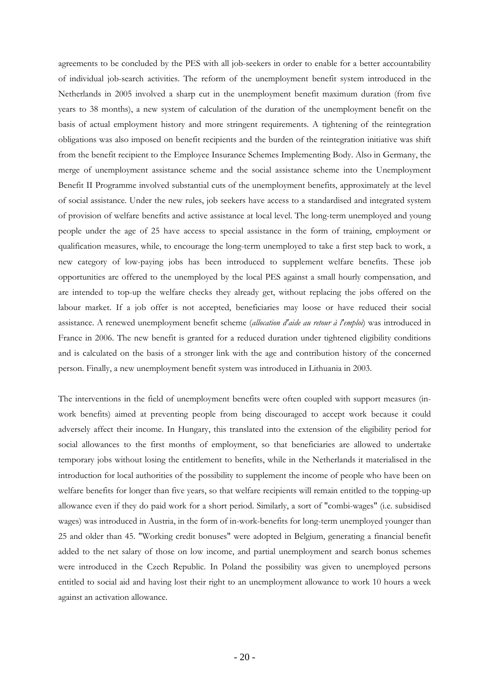agreements to be concluded by the PES with all job-seekers in order to enable for a better accountability of individual job-search activities. The reform of the unemployment benefit system introduced in the Netherlands in 2005 involved a sharp cut in the unemployment benefit maximum duration (from five years to 38 months), a new system of calculation of the duration of the unemployment benefit on the basis of actual employment history and more stringent requirements. A tightening of the reintegration obligations was also imposed on benefit recipients and the burden of the reintegration initiative was shift from the benefit recipient to the Employee Insurance Schemes Implementing Body. Also in Germany, the merge of unemployment assistance scheme and the social assistance scheme into the Unemployment Benefit II Programme involved substantial cuts of the unemployment benefits, approximately at the level of social assistance. Under the new rules, job seekers have access to a standardised and integrated system of provision of welfare benefits and active assistance at local level. The long-term unemployed and young people under the age of 25 have access to special assistance in the form of training, employment or qualification measures, while, to encourage the long-term unemployed to take a first step back to work, a new category of low-paying jobs has been introduced to supplement welfare benefits. These job opportunities are offered to the unemployed by the local PES against a small hourly compensation, and are intended to top-up the welfare checks they already get, without replacing the jobs offered on the labour market. If a job offer is not accepted, beneficiaries may loose or have reduced their social assistance. A renewed unemployment benefit scheme (*allocation d'aide au retour à l'emploi*) was introduced in France in 2006. The new benefit is granted for a reduced duration under tightened eligibility conditions and is calculated on the basis of a stronger link with the age and contribution history of the concerned person. Finally, a new unemployment benefit system was introduced in Lithuania in 2003.

The interventions in the field of unemployment benefits were often coupled with support measures (inwork benefits) aimed at preventing people from being discouraged to accept work because it could adversely affect their income. In Hungary, this translated into the extension of the eligibility period for social allowances to the first months of employment, so that beneficiaries are allowed to undertake temporary jobs without losing the entitlement to benefits, while in the Netherlands it materialised in the introduction for local authorities of the possibility to supplement the income of people who have been on welfare benefits for longer than five years, so that welfare recipients will remain entitled to the topping-up allowance even if they do paid work for a short period. Similarly, a sort of "combi-wages" (i.e. subsidised wages) was introduced in Austria, in the form of in-work-benefits for long-term unemployed younger than 25 and older than 45. "Working credit bonuses" were adopted in Belgium, generating a financial benefit added to the net salary of those on low income, and partial unemployment and search bonus schemes were introduced in the Czech Republic. In Poland the possibility was given to unemployed persons entitled to social aid and having lost their right to an unemployment allowance to work 10 hours a week against an activation allowance.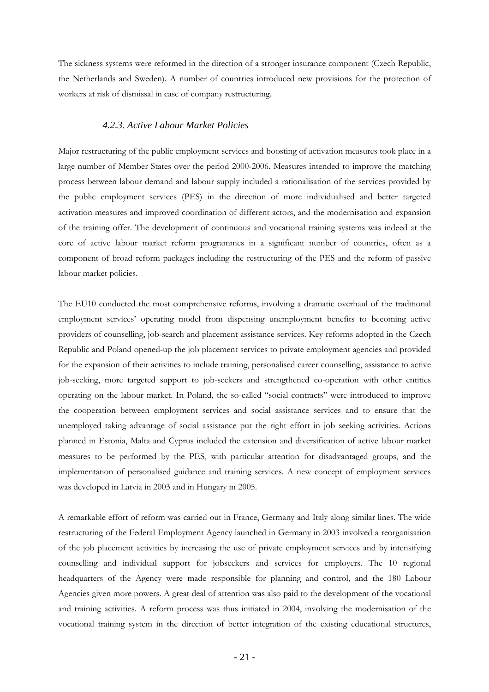The sickness systems were reformed in the direction of a stronger insurance component (Czech Republic, the Netherlands and Sweden). A number of countries introduced new provisions for the protection of workers at risk of dismissal in case of company restructuring.

## *4.2.3. Active Labour Market Policies*

<span id="page-19-0"></span>Major restructuring of the public employment services and boosting of activation measures took place in a large number of Member States over the period 2000-2006. Measures intended to improve the matching process between labour demand and labour supply included a rationalisation of the services provided by the public employment services (PES) in the direction of more individualised and better targeted activation measures and improved coordination of different actors, and the modernisation and expansion of the training offer. The development of continuous and vocational training systems was indeed at the core of active labour market reform programmes in a significant number of countries, often as a component of broad reform packages including the restructuring of the PES and the reform of passive labour market policies.

The EU10 conducted the most comprehensive reforms, involving a dramatic overhaul of the traditional employment services' operating model from dispensing unemployment benefits to becoming active providers of counselling, job-search and placement assistance services. Key reforms adopted in the Czech Republic and Poland opened-up the job placement services to private employment agencies and provided for the expansion of their activities to include training, personalised career counselling, assistance to active job-seeking, more targeted support to job-seekers and strengthened co-operation with other entities operating on the labour market. In Poland, the so-called "social contracts" were introduced to improve the cooperation between employment services and social assistance services and to ensure that the unemployed taking advantage of social assistance put the right effort in job seeking activities. Actions planned in Estonia, Malta and Cyprus included the extension and diversification of active labour market measures to be performed by the PES, with particular attention for disadvantaged groups, and the implementation of personalised guidance and training services. A new concept of employment services was developed in Latvia in 2003 and in Hungary in 2005.

A remarkable effort of reform was carried out in France, Germany and Italy along similar lines. The wide restructuring of the Federal Employment Agency launched in Germany in 2003 involved a reorganisation of the job placement activities by increasing the use of private employment services and by intensifying counselling and individual support for jobseekers and services for employers. The 10 regional headquarters of the Agency were made responsible for planning and control, and the 180 Labour Agencies given more powers. A great deal of attention was also paid to the development of the vocational and training activities. A reform process was thus initiated in 2004, involving the modernisation of the vocational training system in the direction of better integration of the existing educational structures,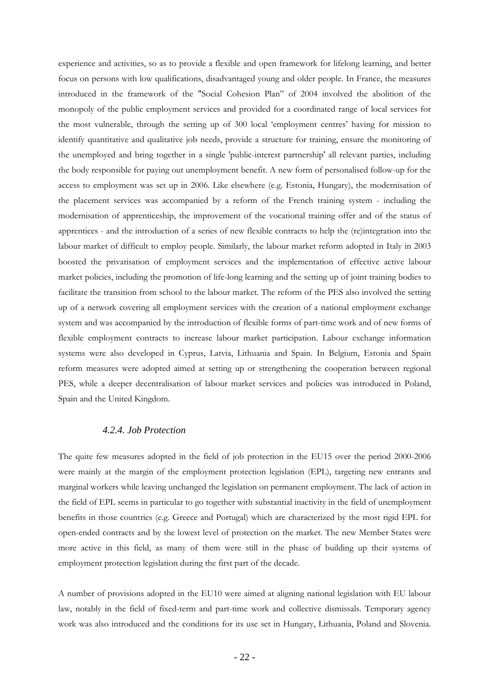experience and activities, so as to provide a flexible and open framework for lifelong learning, and better focus on persons with low qualifications, disadvantaged young and older people. In France, the measures introduced in the framework of the "Social Cohesion Plan" of 2004 involved the abolition of the monopoly of the public employment services and provided for a coordinated range of local services for the most vulnerable, through the setting up of 300 local 'employment centres' having for mission to identify quantitative and qualitative job needs, provide a structure for training, ensure the monitoring of the unemployed and bring together in a single 'public-interest partnership' all relevant parties, including the body responsible for paying out unemployment benefit. A new form of personalised follow-up for the access to employment was set up in 2006. Like elsewhere (e.g. Estonia, Hungary), the modernisation of the placement services was accompanied by a reform of the French training system - including the modernisation of apprenticeship, the improvement of the vocational training offer and of the status of apprentices - and the introduction of a series of new flexible contracts to help the (re)integration into the labour market of difficult to employ people. Similarly, the labour market reform adopted in Italy in 2003 boosted the privatisation of employment services and the implementation of effective active labour market policies, including the promotion of life-long learning and the setting up of joint training bodies to facilitate the transition from school to the labour market. The reform of the PES also involved the setting up of a network covering all employment services with the creation of a national employment exchange system and was accompanied by the introduction of flexible forms of part-time work and of new forms of flexible employment contracts to increase labour market participation. Labour exchange information systems were also developed in Cyprus, Latvia, Lithuania and Spain. In Belgium, Estonia and Spain reform measures were adopted aimed at setting up or strengthening the cooperation between regional PES, while a deeper decentralisation of labour market services and policies was introduced in Poland, Spain and the United Kingdom.

# *4.2.4. Job Protection*

<span id="page-20-0"></span>The quite few measures adopted in the field of job protection in the EU15 over the period 2000-2006 were mainly at the margin of the employment protection legislation (EPL), targeting new entrants and marginal workers while leaving unchanged the legislation on permanent employment. The lack of action in the field of EPL seems in particular to go together with substantial inactivity in the field of unemployment benefits in those countries (e.g. Greece and Portugal) which are characterized by the most rigid EPL for open-ended contracts and by the lowest level of protection on the market. The new Member States were more active in this field, as many of them were still in the phase of building up their systems of employment protection legislation during the first part of the decade.

A number of provisions adopted in the EU10 were aimed at aligning national legislation with EU labour law, notably in the field of fixed-term and part-time work and collective dismissals. Temporary agency work was also introduced and the conditions for its use set in Hungary, Lithuania, Poland and Slovenia.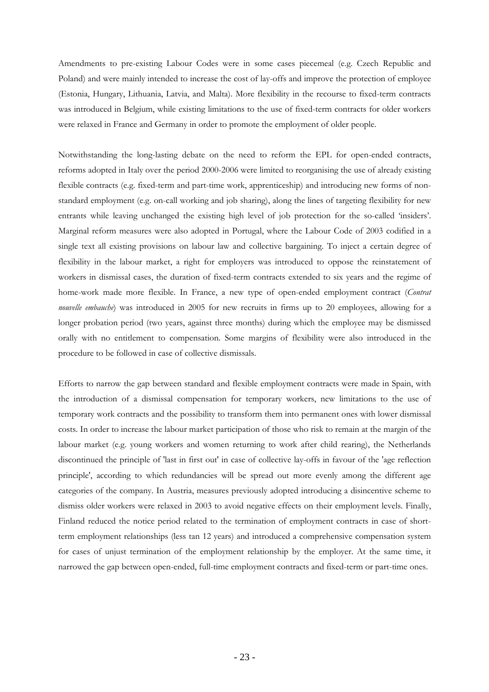Amendments to pre-existing Labour Codes were in some cases piecemeal (e.g. Czech Republic and Poland) and were mainly intended to increase the cost of lay-offs and improve the protection of employee (Estonia, Hungary, Lithuania, Latvia, and Malta). More flexibility in the recourse to fixed-term contracts was introduced in Belgium, while existing limitations to the use of fixed-term contracts for older workers were relaxed in France and Germany in order to promote the employment of older people.

Notwithstanding the long-lasting debate on the need to reform the EPL for open-ended contracts, reforms adopted in Italy over the period 2000-2006 were limited to reorganising the use of already existing flexible contracts (e.g. fixed-term and part-time work, apprenticeship) and introducing new forms of nonstandard employment (e.g. on-call working and job sharing), along the lines of targeting flexibility for new entrants while leaving unchanged the existing high level of job protection for the so-called 'insiders'. Marginal reform measures were also adopted in Portugal, where the Labour Code of 2003 codified in a single text all existing provisions on labour law and collective bargaining. To inject a certain degree of flexibility in the labour market, a right for employers was introduced to oppose the reinstatement of workers in dismissal cases, the duration of fixed-term contracts extended to six years and the regime of home-work made more flexible. In France, a new type of open-ended employment contract (*Contrat nouvelle embauche*) was introduced in 2005 for new recruits in firms up to 20 employees, allowing for a longer probation period (two years, against three months) during which the employee may be dismissed orally with no entitlement to compensation. Some margins of flexibility were also introduced in the procedure to be followed in case of collective dismissals.

Efforts to narrow the gap between standard and flexible employment contracts were made in Spain, with the introduction of a dismissal compensation for temporary workers, new limitations to the use of temporary work contracts and the possibility to transform them into permanent ones with lower dismissal costs. In order to increase the labour market participation of those who risk to remain at the margin of the labour market (e.g. young workers and women returning to work after child rearing), the Netherlands discontinued the principle of 'last in first out' in case of collective lay-offs in favour of the 'age reflection principle', according to which redundancies will be spread out more evenly among the different age categories of the company. In Austria, measures previously adopted introducing a disincentive scheme to dismiss older workers were relaxed in 2003 to avoid negative effects on their employment levels. Finally, Finland reduced the notice period related to the termination of employment contracts in case of shortterm employment relationships (less tan 12 years) and introduced a comprehensive compensation system for cases of unjust termination of the employment relationship by the employer. At the same time, it narrowed the gap between open-ended, full-time employment contracts and fixed-term or part-time ones.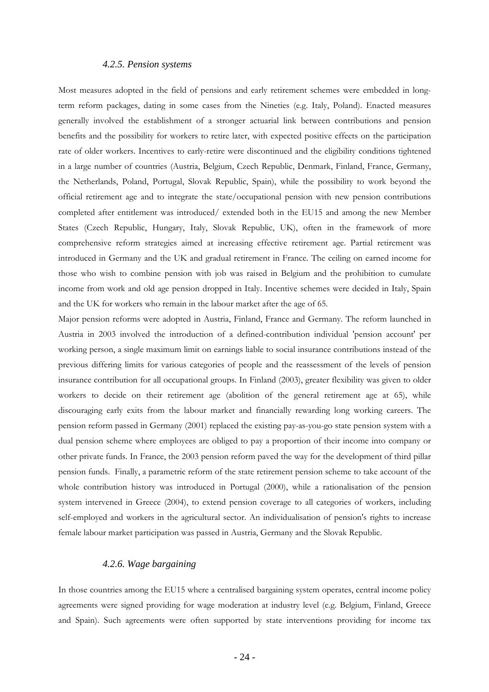## *4.2.5. Pension systems*

<span id="page-22-0"></span>Most measures adopted in the field of pensions and early retirement schemes were embedded in longterm reform packages, dating in some cases from the Nineties (e.g. Italy, Poland). Enacted measures generally involved the establishment of a stronger actuarial link between contributions and pension benefits and the possibility for workers to retire later, with expected positive effects on the participation rate of older workers. Incentives to early-retire were discontinued and the eligibility conditions tightened in a large number of countries (Austria, Belgium, Czech Republic, Denmark, Finland, France, Germany, the Netherlands, Poland, Portugal, Slovak Republic, Spain), while the possibility to work beyond the official retirement age and to integrate the state/occupational pension with new pension contributions completed after entitlement was introduced/ extended both in the EU15 and among the new Member States (Czech Republic, Hungary, Italy, Slovak Republic, UK), often in the framework of more comprehensive reform strategies aimed at increasing effective retirement age. Partial retirement was introduced in Germany and the UK and gradual retirement in France. The ceiling on earned income for those who wish to combine pension with job was raised in Belgium and the prohibition to cumulate income from work and old age pension dropped in Italy. Incentive schemes were decided in Italy, Spain and the UK for workers who remain in the labour market after the age of 65.

Major pension reforms were adopted in Austria, Finland, France and Germany. The reform launched in Austria in 2003 involved the introduction of a defined-contribution individual 'pension account' per working person, a single maximum limit on earnings liable to social insurance contributions instead of the previous differing limits for various categories of people and the reassessment of the levels of pension insurance contribution for all occupational groups. In Finland (2003), greater flexibility was given to older workers to decide on their retirement age (abolition of the general retirement age at 65), while discouraging early exits from the labour market and financially rewarding long working careers. The pension reform passed in Germany (2001) replaced the existing pay-as-you-go state pension system with a dual pension scheme where employees are obliged to pay a proportion of their income into company or other private funds. In France, the 2003 pension reform paved the way for the development of third pillar pension funds. Finally, a parametric reform of the state retirement pension scheme to take account of the whole contribution history was introduced in Portugal (2000), while a rationalisation of the pension system intervened in Greece (2004), to extend pension coverage to all categories of workers, including self-employed and workers in the agricultural sector. An individualisation of pension's rights to increase female labour market participation was passed in Austria, Germany and the Slovak Republic.

# *4.2.6. Wage bargaining*

<span id="page-22-1"></span>In those countries among the EU15 where a centralised bargaining system operates, central income policy agreements were signed providing for wage moderation at industry level (e.g. Belgium, Finland, Greece and Spain). Such agreements were often supported by state interventions providing for income tax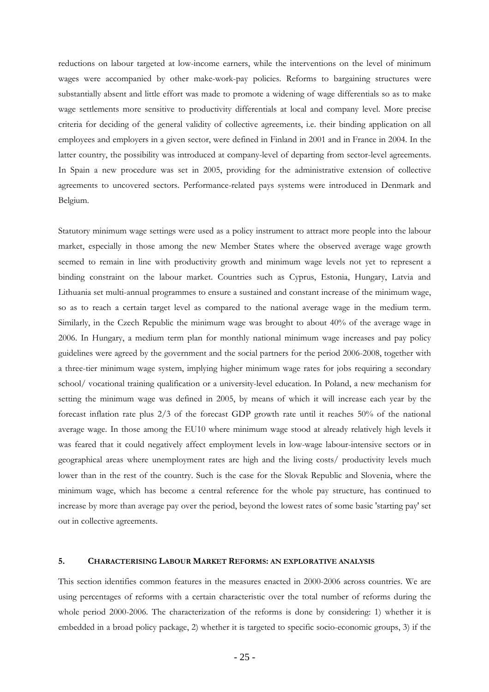reductions on labour targeted at low-income earners, while the interventions on the level of minimum wages were accompanied by other make-work-pay policies. Reforms to bargaining structures were substantially absent and little effort was made to promote a widening of wage differentials so as to make wage settlements more sensitive to productivity differentials at local and company level. More precise criteria for deciding of the general validity of collective agreements, i.e. their binding application on all employees and employers in a given sector, were defined in Finland in 2001 and in France in 2004. In the latter country, the possibility was introduced at company-level of departing from sector-level agreements. In Spain a new procedure was set in 2005, providing for the administrative extension of collective agreements to uncovered sectors. Performance-related pays systems were introduced in Denmark and Belgium.

Statutory minimum wage settings were used as a policy instrument to attract more people into the labour market, especially in those among the new Member States where the observed average wage growth seemed to remain in line with productivity growth and minimum wage levels not yet to represent a binding constraint on the labour market. Countries such as Cyprus, Estonia, Hungary, Latvia and Lithuania set multi-annual programmes to ensure a sustained and constant increase of the minimum wage, so as to reach a certain target level as compared to the national average wage in the medium term. Similarly, in the Czech Republic the minimum wage was brought to about 40% of the average wage in 2006. In Hungary, a medium term plan for monthly national minimum wage increases and pay policy guidelines were agreed by the government and the social partners for the period 2006-2008, together with a three-tier minimum wage system, implying higher minimum wage rates for jobs requiring a secondary school/ vocational training qualification or a university-level education. In Poland, a new mechanism for setting the minimum wage was defined in 2005, by means of which it will increase each year by the forecast inflation rate plus 2/3 of the forecast GDP growth rate until it reaches 50% of the national average wage. In those among the EU10 where minimum wage stood at already relatively high levels it was feared that it could negatively affect employment levels in low-wage labour-intensive sectors or in geographical areas where unemployment rates are high and the living costs/ productivity levels much lower than in the rest of the country. Such is the case for the Slovak Republic and Slovenia, where the minimum wage, which has become a central reference for the whole pay structure, has continued to increase by more than average pay over the period, beyond the lowest rates of some basic 'starting pay' set out in collective agreements.

## <span id="page-23-0"></span>**5. CHARACTERISING LABOUR MARKET REFORMS: AN EXPLORATIVE ANALYSIS**

This section identifies common features in the measures enacted in 2000-2006 across countries. We are using percentages of reforms with a certain characteristic over the total number of reforms during the whole period 2000-2006. The characterization of the reforms is done by considering: 1) whether it is embedded in a broad policy package, 2) whether it is targeted to specific socio-economic groups, 3) if the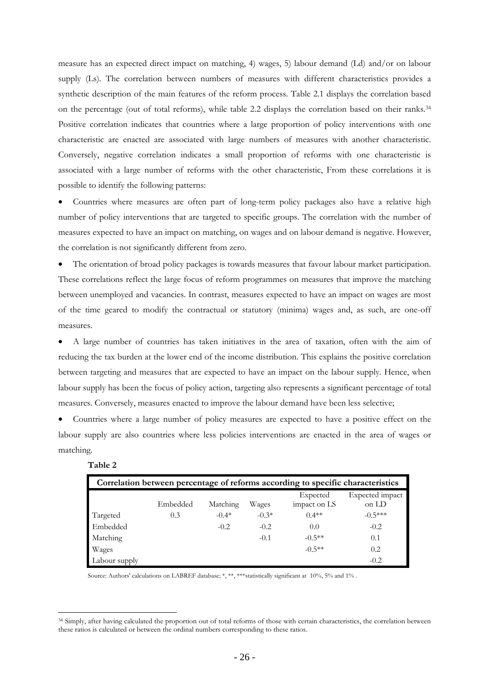measure has an expected direct impact on matching, 4) wages, 5) labour demand (Ld) and/or on labour supply (Ls). The correlation between numbers of measures with different characteristics provides a synthetic description of the main features of the reform process. Table 2.1 displays the correlation based on the percentage (out of total reforms), while table 2.2 displays the correlation based on their ranks.34 Positive correlation indicates that countries where a large proportion of policy interventions with one characteristic are enacted are associated with large numbers of measures with another characteristic. Conversely, negative correlation indicates a small proportion of reforms with one characteristic is associated with a large number of reforms with the other characteristic, From these correlations it is possible to identify the following patterns:

• Countries where measures are often part of long-term policy packages also have a relative high number of policy interventions that are targeted to specific groups. The correlation with the number of measures expected to have an impact on matching, on wages and on labour demand is negative. However, the correlation is not significantly different from zero.

The orientation of broad policy packages is towards measures that favour labour market participation. These correlations reflect the large focus of reform programmes on measures that improve the matching between unemployed and vacancies. In contrast, measures expected to have an impact on wages are most of the time geared to modify the contractual or statutory (minima) wages and, as such, are one-off measures.

• A large number of countries has taken initiatives in the area of taxation, often with the aim of reducing the tax burden at the lower end of the income distribution. This explains the positive correlation between targeting and measures that are expected to have an impact on the labour supply. Hence, when labour supply has been the focus of policy action, targeting also represents a significant percentage of total measures. Conversely, measures enacted to improve the labour demand have been less selective;

• Countries where a large number of policy measures are expected to have a positive effect on the labour supply are also countries where less policies interventions are enacted in the area of wages or matching.

| able |  |
|------|--|
|------|--|

 $\overline{a}$ 

| Correlation between percentage of reforms according to specific characteristics |          |          |         |                          |                          |  |  |
|---------------------------------------------------------------------------------|----------|----------|---------|--------------------------|--------------------------|--|--|
|                                                                                 | Embedded | Matching | Wages   | Expected<br>impact on LS | Expected impact<br>on LD |  |  |
| Targeted                                                                        | 0.3      | $-0.4*$  | $-0.3*$ | $0.4**$                  | $-0.5***$                |  |  |
| Embedded                                                                        |          | $-0.2$   | $-0.2$  | 0.0                      | $-0.2$                   |  |  |
| Matching                                                                        |          |          | $-0.1$  | $-0.5**$                 | 0.1                      |  |  |
| Wages                                                                           |          |          |         | $-0.5**$                 | 0.2                      |  |  |
| Labour supply                                                                   |          |          |         |                          | $-0.2$                   |  |  |

Source: Authors' calculations on LABREF database; \*, \*\*, \*\*\* statistically significant at 10%, 5% and 1%.

<sup>34</sup> Simply, after having calculated the proportion out of total reforms of those with certain characteristics, the correlation between these ratios is calculated or between the ordinal numbers corresponding to these ratios.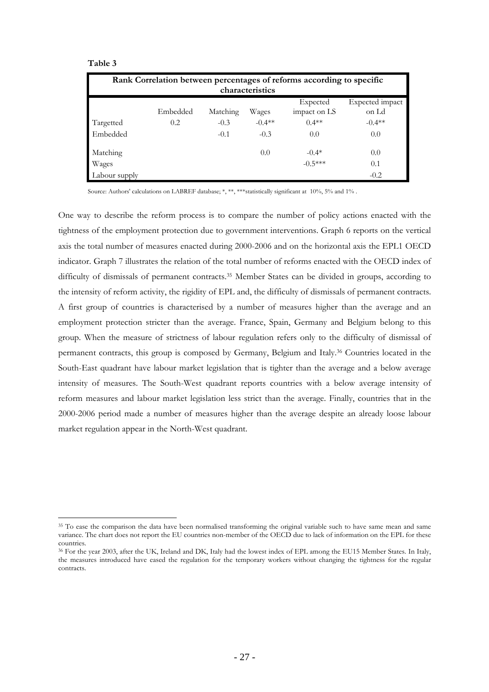#### **Table 3**

 $\overline{a}$ 

|                 | Rank Correlation between percentages of reforms according to specific |          |          |                          |                          |  |  |  |
|-----------------|-----------------------------------------------------------------------|----------|----------|--------------------------|--------------------------|--|--|--|
| characteristics |                                                                       |          |          |                          |                          |  |  |  |
|                 | Embedded                                                              | Matching | Wages    | Expected<br>impact on LS | Expected impact<br>on Ld |  |  |  |
| Targetted       | 0.2                                                                   | $-0.3$   | $-0.4**$ | $0.4**$                  | $-0.4$ **                |  |  |  |
| Embedded        |                                                                       | $-0.1$   | $-0.3$   | 0.0                      | 0.0                      |  |  |  |
| Matching        |                                                                       |          | 0.0      | $-0.4*$                  | 0.0                      |  |  |  |
| Wages           |                                                                       |          |          | $-0.5***$                | 0.1                      |  |  |  |
| Labour supply   |                                                                       |          |          |                          | $-0.2$                   |  |  |  |

Source: Authors' calculations on LABREF database; \*, \*\*, \*\*\*statistically significant at 10%, 5% and 1%.

One way to describe the reform process is to compare the number of policy actions enacted with the tightness of the employment protection due to government interventions. Graph 6 reports on the vertical axis the total number of measures enacted during 2000-2006 and on the horizontal axis the EPL1 OECD indicator. Graph 7 illustrates the relation of the total number of reforms enacted with the OECD index of difficulty of dismissals of permanent contracts.35 Member States can be divided in groups, according to the intensity of reform activity, the rigidity of EPL and, the difficulty of dismissals of permanent contracts. A first group of countries is characterised by a number of measures higher than the average and an employment protection stricter than the average. France, Spain, Germany and Belgium belong to this group. When the measure of strictness of labour regulation refers only to the difficulty of dismissal of permanent contracts, this group is composed by Germany, Belgium and Italy.36 Countries located in the South-East quadrant have labour market legislation that is tighter than the average and a below average intensity of measures. The South-West quadrant reports countries with a below average intensity of reform measures and labour market legislation less strict than the average. Finally, countries that in the 2000-2006 period made a number of measures higher than the average despite an already loose labour market regulation appear in the North-West quadrant.

<sup>&</sup>lt;sup>35</sup> To ease the comparison the data have been normalised transforming the original variable such to have same mean and same variance. The chart does not report the EU countries non-member of the OECD due to lack of information on the EPL for these countries.

<sup>36</sup> For the year 2003, after the UK, Ireland and DK, Italy had the lowest index of EPL among the EU15 Member States. In Italy, the measures introduced have eased the regulation for the temporary workers without changing the tightness for the regular contracts.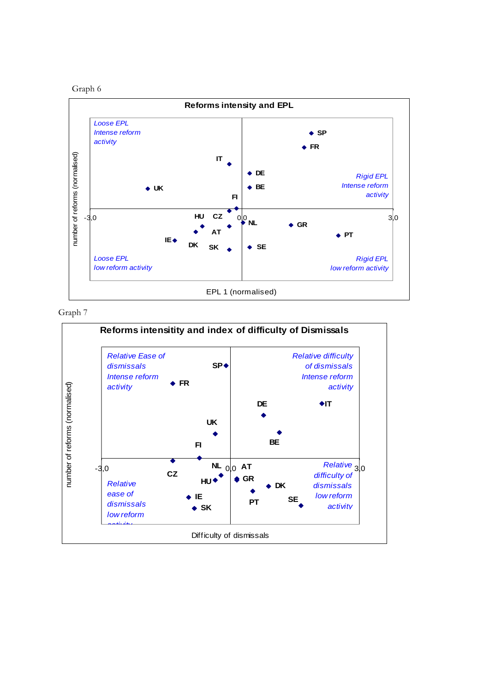



Graph 7

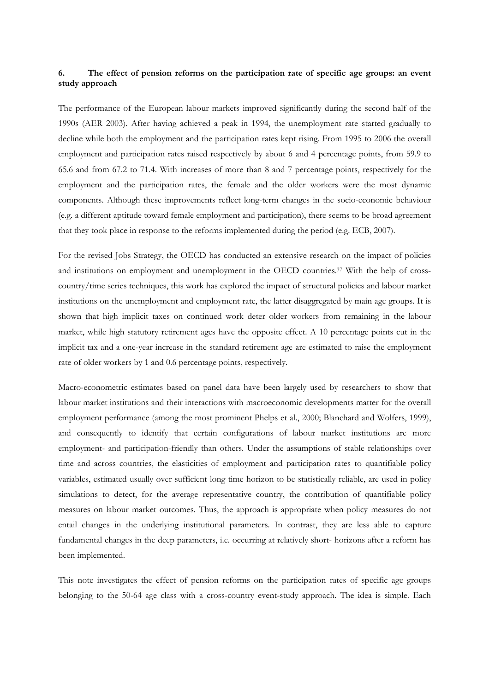# <span id="page-27-0"></span>**6. The effect of pension reforms on the participation rate of specific age groups: an event study approach**

The performance of the European labour markets improved significantly during the second half of the 1990s (AER 2003). After having achieved a peak in 1994, the unemployment rate started gradually to decline while both the employment and the participation rates kept rising. From 1995 to 2006 the overall employment and participation rates raised respectively by about 6 and 4 percentage points, from 59.9 to 65.6 and from 67.2 to 71.4. With increases of more than 8 and 7 percentage points, respectively for the employment and the participation rates, the female and the older workers were the most dynamic components. Although these improvements reflect long-term changes in the socio-economic behaviour (e.g. a different aptitude toward female employment and participation), there seems to be broad agreement that they took place in response to the reforms implemented during the period (e.g. ECB, 2007).

For the revised Jobs Strategy, the OECD has conducted an extensive research on the impact of policies and institutions on employment and unemployment in the OECD countries.37 With the help of crosscountry/time series techniques, this work has explored the impact of structural policies and labour market institutions on the unemployment and employment rate, the latter disaggregated by main age groups. It is shown that high implicit taxes on continued work deter older workers from remaining in the labour market, while high statutory retirement ages have the opposite effect. A 10 percentage points cut in the implicit tax and a one-year increase in the standard retirement age are estimated to raise the employment rate of older workers by 1 and 0.6 percentage points, respectively.

Macro-econometric estimates based on panel data have been largely used by researchers to show that labour market institutions and their interactions with macroeconomic developments matter for the overall employment performance (among the most prominent Phelps et al., 2000; Blanchard and Wolfers, 1999), and consequently to identify that certain configurations of labour market institutions are more employment- and participation-friendly than others. Under the assumptions of stable relationships over time and across countries, the elasticities of employment and participation rates to quantifiable policy variables, estimated usually over sufficient long time horizon to be statistically reliable, are used in policy simulations to detect, for the average representative country, the contribution of quantifiable policy measures on labour market outcomes. Thus, the approach is appropriate when policy measures do not entail changes in the underlying institutional parameters. In contrast, they are less able to capture fundamental changes in the deep parameters, i.e. occurring at relatively short- horizons after a reform has been implemented.

This note investigates the effect of pension reforms on the participation rates of specific age groups belonging to the 50-64 age class with a cross-country event-study approach. The idea is simple. Each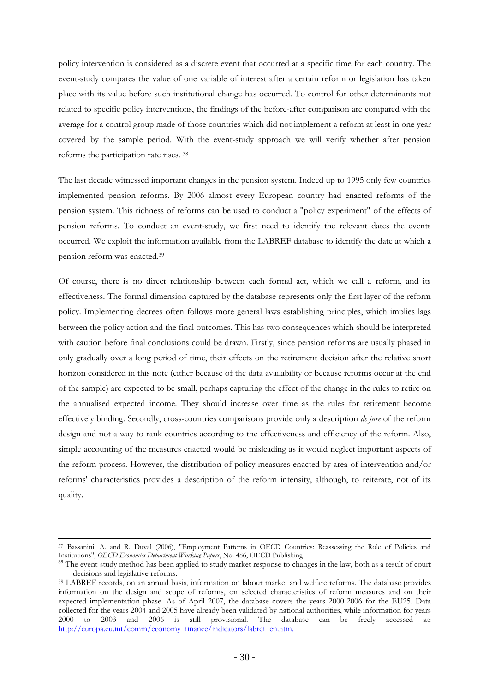policy intervention is considered as a discrete event that occurred at a specific time for each country. The event-study compares the value of one variable of interest after a certain reform or legislation has taken place with its value before such institutional change has occurred. To control for other determinants not related to specific policy interventions, the findings of the before-after comparison are compared with the average for a control group made of those countries which did not implement a reform at least in one year covered by the sample period. With the event-study approach we will verify whether after pension reforms the participation rate rises. 38

The last decade witnessed important changes in the pension system. Indeed up to 1995 only few countries implemented pension reforms. By 2006 almost every European country had enacted reforms of the pension system. This richness of reforms can be used to conduct a "policy experiment" of the effects of pension reforms. To conduct an event-study, we first need to identify the relevant dates the events occurred. We exploit the information available from the LABREF database to identify the date at which a pension reform was enacted.39

Of course, there is no direct relationship between each formal act, which we call a reform, and its effectiveness. The formal dimension captured by the database represents only the first layer of the reform policy. Implementing decrees often follows more general laws establishing principles, which implies lags between the policy action and the final outcomes. This has two consequences which should be interpreted with caution before final conclusions could be drawn. Firstly, since pension reforms are usually phased in only gradually over a long period of time, their effects on the retirement decision after the relative short horizon considered in this note (either because of the data availability or because reforms occur at the end of the sample) are expected to be small, perhaps capturing the effect of the change in the rules to retire on the annualised expected income. They should increase over time as the rules for retirement become effectively binding. Secondly, cross-countries comparisons provide only a description *de jure* of the reform design and not a way to rank countries according to the effectiveness and efficiency of the reform. Also, simple accounting of the measures enacted would be misleading as it would neglect important aspects of the reform process. However, the distribution of policy measures enacted by area of intervention and/or reforms' characteristics provides a description of the reform intensity, although, to reiterate, not of its quality.

 $\overline{a}$ 

<sup>37</sup> Bassanini, A. and R. Duval (2006), "Employment Patterns in OECD Countries: Reassessing the Role of Policies and Institutions", *OECD Economics Department Working Papers*, No. 486, OECD Publishing

<sup>&</sup>lt;sup>38</sup> The event-study method has been applied to study market response to changes in the law, both as a result of court decisions and legislative reforms. 39 LABREF records, on an annual basis, information on labour market and welfare reforms. The database provides

information on the design and scope of reforms, on selected characteristics of reform measures and on their expected implementation phase. As of April 2007, the database covers the years 2000-2006 for the EU25. Data collected for the years 2004 and 2005 have already been validated by national authorities, while information for years 2000 to 2003 and 2006 is still provisional. The database can be freely accessed at: [http://europa.eu.int/comm/economy\\_finance/indicators/labref\\_en.htm.](http://europa.eu.int/comm/economy_finance/indicators/labref_en.htm)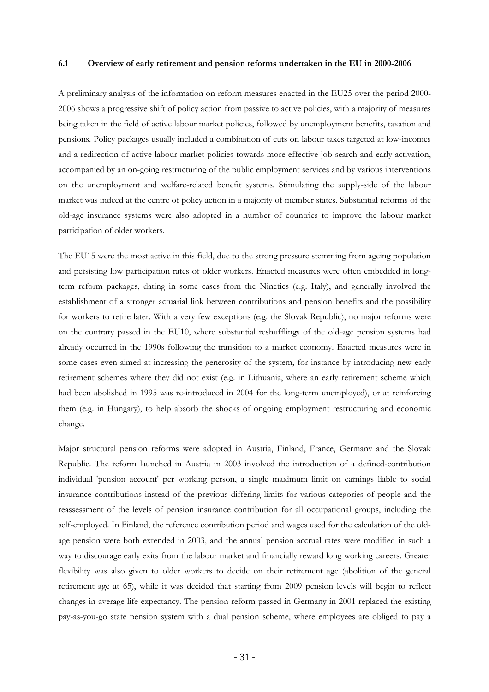#### <span id="page-29-0"></span>**6.1 Overview of early retirement and pension reforms undertaken in the EU in 2000-2006**

A preliminary analysis of the information on reform measures enacted in the EU25 over the period 2000- 2006 shows a progressive shift of policy action from passive to active policies, with a majority of measures being taken in the field of active labour market policies, followed by unemployment benefits, taxation and pensions. Policy packages usually included a combination of cuts on labour taxes targeted at low-incomes and a redirection of active labour market policies towards more effective job search and early activation, accompanied by an on-going restructuring of the public employment services and by various interventions on the unemployment and welfare-related benefit systems. Stimulating the supply-side of the labour market was indeed at the centre of policy action in a majority of member states. Substantial reforms of the old-age insurance systems were also adopted in a number of countries to improve the labour market participation of older workers.

The EU15 were the most active in this field, due to the strong pressure stemming from ageing population and persisting low participation rates of older workers. Enacted measures were often embedded in longterm reform packages, dating in some cases from the Nineties (e.g. Italy), and generally involved the establishment of a stronger actuarial link between contributions and pension benefits and the possibility for workers to retire later. With a very few exceptions (e.g. the Slovak Republic), no major reforms were on the contrary passed in the EU10, where substantial reshufflings of the old-age pension systems had already occurred in the 1990s following the transition to a market economy. Enacted measures were in some cases even aimed at increasing the generosity of the system, for instance by introducing new early retirement schemes where they did not exist (e.g. in Lithuania, where an early retirement scheme which had been abolished in 1995 was re-introduced in 2004 for the long-term unemployed), or at reinforcing them (e.g. in Hungary), to help absorb the shocks of ongoing employment restructuring and economic change.

Major structural pension reforms were adopted in Austria, Finland, France, Germany and the Slovak Republic. The reform launched in Austria in 2003 involved the introduction of a defined-contribution individual 'pension account' per working person, a single maximum limit on earnings liable to social insurance contributions instead of the previous differing limits for various categories of people and the reassessment of the levels of pension insurance contribution for all occupational groups, including the self-employed. In Finland, the reference contribution period and wages used for the calculation of the oldage pension were both extended in 2003, and the annual pension accrual rates were modified in such a way to discourage early exits from the labour market and financially reward long working careers. Greater flexibility was also given to older workers to decide on their retirement age (abolition of the general retirement age at 65), while it was decided that starting from 2009 pension levels will begin to reflect changes in average life expectancy. The pension reform passed in Germany in 2001 replaced the existing pay-as-you-go state pension system with a dual pension scheme, where employees are obliged to pay a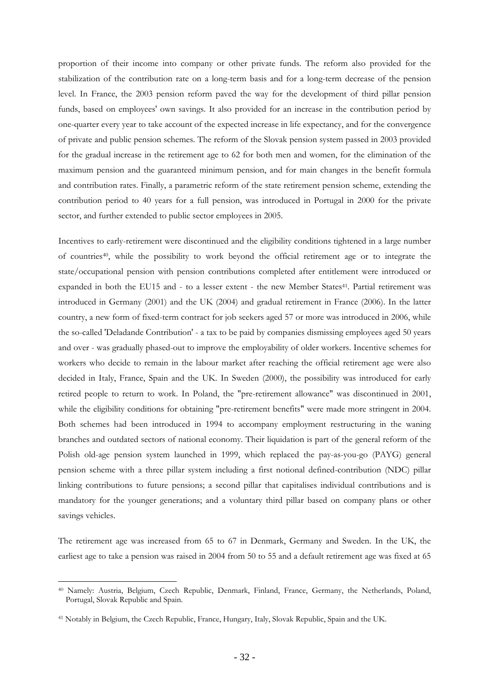proportion of their income into company or other private funds. The reform also provided for the stabilization of the contribution rate on a long-term basis and for a long-term decrease of the pension level. In France, the 2003 pension reform paved the way for the development of third pillar pension funds, based on employees' own savings. It also provided for an increase in the contribution period by one-quarter every year to take account of the expected increase in life expectancy, and for the convergence of private and public pension schemes. The reform of the Slovak pension system passed in 2003 provided for the gradual increase in the retirement age to 62 for both men and women, for the elimination of the maximum pension and the guaranteed minimum pension, and for main changes in the benefit formula and contribution rates. Finally, a parametric reform of the state retirement pension scheme, extending the contribution period to 40 years for a full pension, was introduced in Portugal in 2000 for the private sector, and further extended to public sector employees in 2005.

Incentives to early-retirement were discontinued and the eligibility conditions tightened in a large number of countries40, while the possibility to work beyond the official retirement age or to integrate the state/occupational pension with pension contributions completed after entitlement were introduced or expanded in both the EU15 and - to a lesser extent - the new Member States<sup>41</sup>. Partial retirement was introduced in Germany (2001) and the UK (2004) and gradual retirement in France (2006). In the latter country, a new form of fixed-term contract for job seekers aged 57 or more was introduced in 2006, while the so-called 'Deladande Contribution' - a tax to be paid by companies dismissing employees aged 50 years and over - was gradually phased-out to improve the employability of older workers. Incentive schemes for workers who decide to remain in the labour market after reaching the official retirement age were also decided in Italy, France, Spain and the UK. In Sweden (2000), the possibility was introduced for early retired people to return to work. In Poland, the "pre-retirement allowance" was discontinued in 2001, while the eligibility conditions for obtaining "pre-retirement benefits" were made more stringent in 2004. Both schemes had been introduced in 1994 to accompany employment restructuring in the waning branches and outdated sectors of national economy. Their liquidation is part of the general reform of the Polish old-age pension system launched in 1999, which replaced the pay-as-you-go (PAYG) general pension scheme with a three pillar system including a first notional defined-contribution (NDC) pillar linking contributions to future pensions; a second pillar that capitalises individual contributions and is mandatory for the younger generations; and a voluntary third pillar based on company plans or other savings vehicles.

The retirement age was increased from 65 to 67 in Denmark, Germany and Sweden. In the UK, the earliest age to take a pension was raised in 2004 from 50 to 55 and a default retirement age was fixed at 65

 $\overline{a}$ 

<sup>40</sup> Namely: Austria, Belgium, Czech Republic, Denmark, Finland, France, Germany, the Netherlands, Poland, Portugal, Slovak Republic and Spain.

<sup>41</sup> Notably in Belgium, the Czech Republic, France, Hungary, Italy, Slovak Republic, Spain and the UK.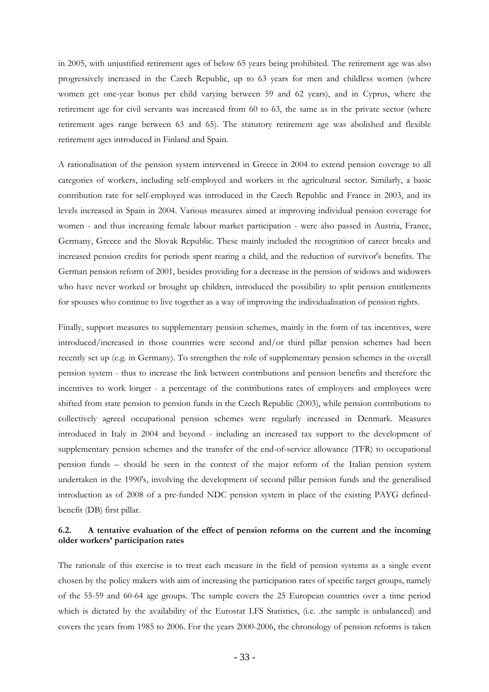in 2005, with unjustified retirement ages of below 65 years being prohibited. The retirement age was also progressively increased in the Czech Republic, up to 63 years for men and childless women (where women get one-year bonus per child varying between 59 and 62 years), and in Cyprus, where the retirement age for civil servants was increased from 60 to 63, the same as in the private sector (where retirement ages range between 63 and 65). The statutory retirement age was abolished and flexible retirement ages introduced in Finland and Spain.

A rationalisation of the pension system intervened in Greece in 2004 to extend pension coverage to all categories of workers, including self-employed and workers in the agricultural sector. Similarly, a basic contribution rate for self-employed was introduced in the Czech Republic and France in 2003, and its levels increased in Spain in 2004. Various measures aimed at improving individual pension coverage for women - and thus increasing female labour market participation - were also passed in Austria, France, Germany, Greece and the Slovak Republic. These mainly included the recognition of career breaks and increased pension credits for periods spent rearing a child, and the reduction of survivor's benefits. The German pension reform of 2001, besides providing for a decrease in the pension of widows and widowers who have never worked or brought up children, introduced the possibility to split pension entitlements for spouses who continue to live together as a way of improving the individualisation of pension rights.

Finally, support measures to supplementary pension schemes, mainly in the form of tax incentives, were introduced/increased in those countries were second and/or third pillar pension schemes had been recently set up (e.g. in Germany). To strengthen the role of supplementary pension schemes in the overall pension system - thus to increase the link between contributions and pension benefits and therefore the incentives to work longer - a percentage of the contributions rates of employers and employees were shifted from state pension to pension funds in the Czech Republic (2003), while pension contributions to collectively agreed occupational pension schemes were regularly increased in Denmark. Measures introduced in Italy in 2004 and beyond - including an increased tax support to the development of supplementary pension schemes and the transfer of the end-of-service allowance (TFR) to occupational pension funds – should be seen in the context of the major reform of the Italian pension system undertaken in the 1990's, involving the development of second pillar pension funds and the generalised introduction as of 2008 of a pre-funded NDC pension system in place of the existing PAYG definedbenefit (DB) first pillar.

## <span id="page-31-0"></span>**6.2. A tentative evaluation of the effect of pension reforms on the current and the incoming older workers' participation rates**

The rationale of this exercise is to treat each measure in the field of pension systems as a single event chosen by the policy makers with aim of increasing the participation rates of specific target groups, namely of the 55-59 and 60-64 age groups. The sample covers the 25 European countries over a time period which is dictated by the availability of the Eurostat LFS Statistics, (i.e. .the sample is unbalanced) and covers the years from 1985 to 2006. For the years 2000-2006, the chronology of pension reforms is taken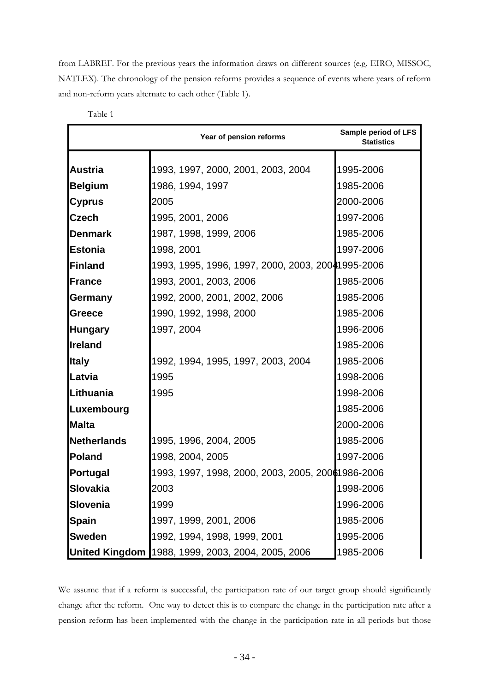from LABREF. For the previous years the information draws on different sources (e.g. EIRO, MISSOC, NATLEX). The chronology of the pension reforms provides a sequence of events where years of reform and non-reform years alternate to each other (Table 1).

|                    | Year of pension reforms                           | Sample period of LFS<br><b>Statistics</b> |
|--------------------|---------------------------------------------------|-------------------------------------------|
| <b>Austria</b>     | 1993, 1997, 2000, 2001, 2003, 2004                | 1995-2006                                 |
|                    |                                                   | 1985-2006                                 |
| <b>Belgium</b>     | 1986, 1994, 1997                                  |                                           |
| <b>Cyprus</b>      | 2005                                              | 2000-2006                                 |
| <b>Czech</b>       | 1995, 2001, 2006                                  | 1997-2006                                 |
| <b>Denmark</b>     | 1987, 1998, 1999, 2006                            | 1985-2006                                 |
| <b>Estonia</b>     | 1998, 2001                                        | 1997-2006                                 |
| Finland            | 1993, 1995, 1996, 1997, 2000, 2003, 20041995-2006 |                                           |
| France             | 1993, 2001, 2003, 2006                            | 1985-2006                                 |
| Germany            | 1992, 2000, 2001, 2002, 2006                      | 1985-2006                                 |
| <b>Greece</b>      | 1990, 1992, 1998, 2000                            | 1985-2006                                 |
| <b>Hungary</b>     | 1997, 2004                                        | 1996-2006                                 |
| <b>Ireland</b>     |                                                   | 1985-2006                                 |
| <b>Italy</b>       | 1992, 1994, 1995, 1997, 2003, 2004                | 1985-2006                                 |
| Latvia             | 1995                                              | 1998-2006                                 |
| Lithuania          | 1995                                              | 1998-2006                                 |
| Luxembourg         |                                                   | 1985-2006                                 |
| <b>Malta</b>       |                                                   | 2000-2006                                 |
| <b>Netherlands</b> | 1995, 1996, 2004, 2005                            | 1985-2006                                 |
| <b>Poland</b>      | 1998, 2004, 2005                                  | 1997-2006                                 |
| <b>Portugal</b>    | 1993, 1997, 1998, 2000, 2003, 2005, 20061986-2006 |                                           |
| Slovakia           | 2003                                              | 1998-2006                                 |
| Slovenia           | 1999                                              | 1996-2006                                 |
| <b>Spain</b>       | 1997, 1999, 2001, 2006                            | 1985-2006                                 |
| <b>Sweden</b>      | 1992, 1994, 1998, 1999, 2001                      | 1995-2006                                 |
|                    | United Kingdom 1988, 1999, 2003, 2004, 2005, 2006 | 1985-2006                                 |

Table 1

We assume that if a reform is successful, the participation rate of our target group should significantly change after the reform. One way to detect this is to compare the change in the participation rate after a pension reform has been implemented with the change in the participation rate in all periods but those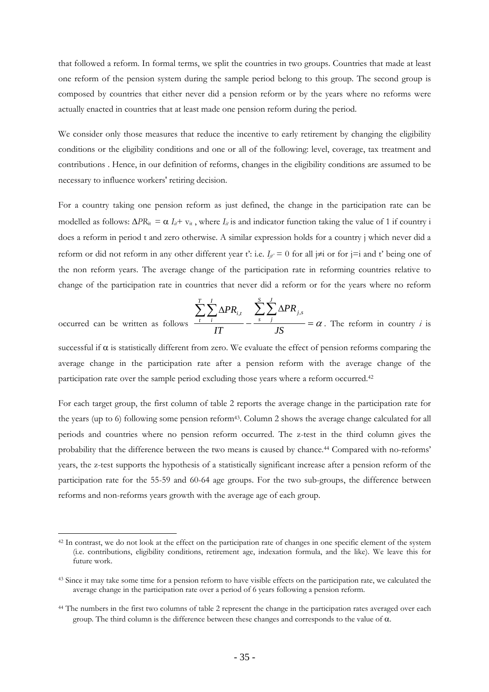that followed a reform. In formal terms, we split the countries in two groups. Countries that made at least one reform of the pension system during the sample period belong to this group. The second group is composed by countries that either never did a pension reform or by the years where no reforms were actually enacted in countries that at least made one pension reform during the period.

We consider only those measures that reduce the incentive to early retirement by changing the eligibility conditions or the eligibility conditions and one or all of the following: level, coverage, tax treatment and contributions . Hence, in our definition of reforms, changes in the eligibility conditions are assumed to be necessary to influence workers' retiring decision.

For a country taking one pension reform as just defined, the change in the participation rate can be modelled as follows:  $\Delta PR_{it} = \alpha I_{it} + v_{it}$ , where  $I_{it}$  is and indicator function taking the value of 1 if country i does a reform in period t and zero otherwise. A similar expression holds for a country j which never did a reform or did not reform in any other different year t': i.e.  $I_{ii'} = 0$  for all  $\neq i$  or for  $i = i$  and t' being one of the non reform years. The average change of the participation rate in reforming countries relative to change of the participation rate in countries that never did a reform or for the years where no reform

$$
s \frac{\sum_{t}^{T} \sum_{i}^{I} \Delta PR_{i,t}}{IT} - \frac{\sum_{s}^{S} \sum_{j}^{J} \Delta PR_{j,s}}{JS}
$$

occurred can be written as follow

 $\overline{a}$ 

 $\frac{\partial f}{\partial x} = \alpha$ . The reform in country *i* is

successful if  $\alpha$  is statistically different from zero. We evaluate the effect of pension reforms comparing the average change in the participation rate after a pension reform with the average change of the participation rate over the sample period excluding those years where a reform occurred.42

For each target group, the first column of table 2 reports the average change in the participation rate for the years (up to 6) following some pension reform43. Column 2 shows the average change calculated for all periods and countries where no pension reform occurred. The z-test in the third column gives the probability that the difference between the two means is caused by chance.44 Compared with no-reforms' years, the z-test supports the hypothesis of a statistically significant increase after a pension reform of the participation rate for the 55-59 and 60-64 age groups. For the two sub-groups, the difference between reforms and non-reforms years growth with the average age of each group.

<sup>&</sup>lt;sup>42</sup> In contrast, we do not look at the effect on the participation rate of changes in one specific element of the system (i.e. contributions, eligibility conditions, retirement age, indexation formula, and the like). We leave this for future work.

<sup>&</sup>lt;sup>43</sup> Since it may take some time for a pension reform to have visible effects on the participation rate, we calculated the average change in the participation rate over a period of 6 years following a pension reform.

<sup>&</sup>lt;sup>44</sup> The numbers in the first two columns of table 2 represent the change in the participation rates averaged over each group. The third column is the difference between these changes and corresponds to the value of α.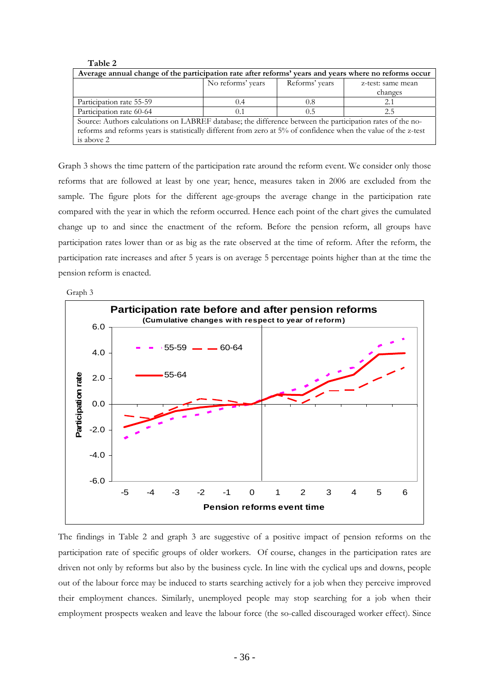| - - - - -                                                                                                       |                   |                |                   |  |  |  |  |
|-----------------------------------------------------------------------------------------------------------------|-------------------|----------------|-------------------|--|--|--|--|
| Average annual change of the participation rate after reforms' years and years where no reforms occur           |                   |                |                   |  |  |  |  |
|                                                                                                                 | No reforms' years | Reforms' years | z-test: same mean |  |  |  |  |
|                                                                                                                 |                   |                | changes           |  |  |  |  |
| Participation rate 55-59<br>0.8<br>(0.4)<br>2.1                                                                 |                   |                |                   |  |  |  |  |
| Participation rate 60-64                                                                                        | (0.1)             | 0.5            | 2.5               |  |  |  |  |
| Source: Authors calculations on LABREF database; the difference between the participation rates of the no-      |                   |                |                   |  |  |  |  |
| reforms and reforms years is statistically different from zero at 5% of confidence when the value of the z-test |                   |                |                   |  |  |  |  |
| is above 2                                                                                                      |                   |                |                   |  |  |  |  |

Graph 3 shows the time pattern of the participation rate around the reform event. We consider only those reforms that are followed at least by one year; hence, measures taken in 2006 are excluded from the sample. The figure plots for the different age-groups the average change in the participation rate compared with the year in which the reform occurred. Hence each point of the chart gives the cumulated change up to and since the enactment of the reform. Before the pension reform, all groups have participation rates lower than or as big as the rate observed at the time of reform. After the reform, the participation rate increases and after 5 years is on average 5 percentage points higher than at the time the pension reform is enacted.



**Table 2**



The findings in Table 2 and graph 3 are suggestive of a positive impact of pension reforms on the participation rate of specific groups of older workers. Of course, changes in the participation rates are driven not only by reforms but also by the business cycle. In line with the cyclical ups and downs, people out of the labour force may be induced to starts searching actively for a job when they perceive improved their employment chances. Similarly, unemployed people may stop searching for a job when their employment prospects weaken and leave the labour force (the so-called discouraged worker effect). Since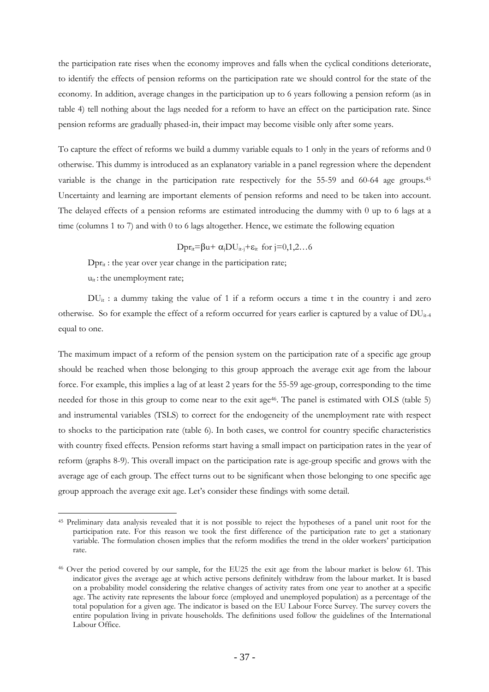the participation rate rises when the economy improves and falls when the cyclical conditions deteriorate, to identify the effects of pension reforms on the participation rate we should control for the state of the economy. In addition, average changes in the participation up to 6 years following a pension reform (as in table 4) tell nothing about the lags needed for a reform to have an effect on the participation rate. Since pension reforms are gradually phased-in, their impact may become visible only after some years.

To capture the effect of reforms we build a dummy variable equals to 1 only in the years of reforms and 0 otherwise. This dummy is introduced as an explanatory variable in a panel regression where the dependent variable is the change in the participation rate respectively for the 55-59 and 60-64 age groups.<sup>45</sup> Uncertainty and learning are important elements of pension reforms and need to be taken into account. The delayed effects of a pension reforms are estimated introducing the dummy with 0 up to 6 lags at a time (columns 1 to 7) and with 0 to 6 lags altogether. Hence, we estimate the following equation

Dpr<sub>it</sub>=βu+  $\alpha_i$ DU<sub>it-j</sub>+ $\varepsilon_i$ <sub>t</sub> for j=0,1,2...6

 $Dpr_{it}$ : the year over year change in the participation rate;  $u_{it}$ : the unemployment rate;

 $\overline{a}$ 

 $DU_{it}$ : a dummy taking the value of 1 if a reform occurs a time t in the country i and zero otherwise. So for example the effect of a reform occurred for years earlier is captured by a value of  $DU_{it-4}$ equal to one.

The maximum impact of a reform of the pension system on the participation rate of a specific age group should be reached when those belonging to this group approach the average exit age from the labour force. For example, this implies a lag of at least 2 years for the 55-59 age-group, corresponding to the time needed for those in this group to come near to the exit age<sup>46</sup>. The panel is estimated with OLS (table 5) and instrumental variables (TSLS) to correct for the endogeneity of the unemployment rate with respect to shocks to the participation rate (table 6). In both cases, we control for country specific characteristics with country fixed effects. Pension reforms start having a small impact on participation rates in the year of reform (graphs 8-9). This overall impact on the participation rate is age-group specific and grows with the average age of each group. The effect turns out to be significant when those belonging to one specific age group approach the average exit age. Let's consider these findings with some detail.

<sup>45</sup> Preliminary data analysis revealed that it is not possible to reject the hypotheses of a panel unit root for the participation rate. For this reason we took the first difference of the participation rate to get a stationary variable. The formulation chosen implies that the reform modifies the trend in the older workers' participation rate.

<sup>46</sup> Over the period covered by our sample, for the EU25 the exit age from the labour market is below 61. This indicator gives the average age at which active persons definitely withdraw from the labour market. It is based on a probability model considering the relative changes of activity rates from one year to another at a specific age. The activity rate represents the labour force (employed and unemployed population) as a percentage of the total population for a given age. The indicator is based on the EU Labour Force Survey. The survey covers the entire population living in private households. The definitions used follow the guidelines of the International Labour Office.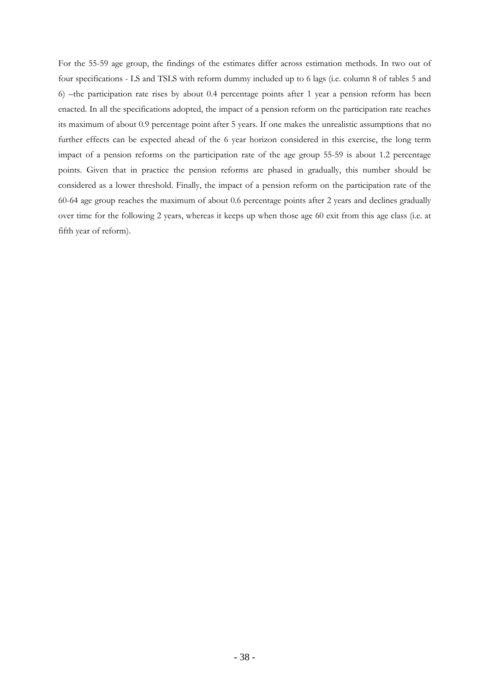For the 55-59 age group, the findings of the estimates differ across estimation methods. In two out of four specifications - LS and TSLS with reform dummy included up to 6 lags (i.e. column 8 of tables 5 and 6) –the participation rate rises by about 0.4 percentage points after 1 year a pension reform has been enacted. In all the specifications adopted, the impact of a pension reform on the participation rate reaches its maximum of about 0.9 percentage point after 5 years. If one makes the unrealistic assumptions that no further effects can be expected ahead of the 6 year horizon considered in this exercise, the long term impact of a pension reforms on the participation rate of the age group 55-59 is about 1.2 percentage points. Given that in practice the pension reforms are phased in gradually, this number should be considered as a lower threshold. Finally, the impact of a pension reform on the participation rate of the 60-64 age group reaches the maximum of about 0.6 percentage points after 2 years and declines gradually over time for the following 2 years, whereas it keeps up when those age 60 exit from this age class (i.e. at fifth year of reform).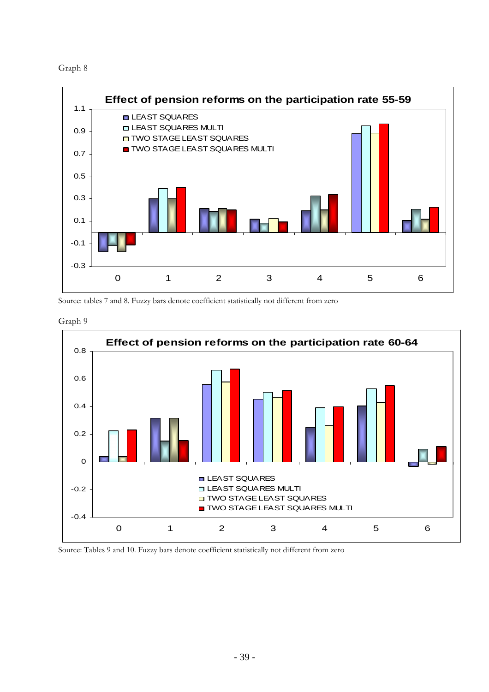



Source: tables 7 and 8. Fuzzy bars denote coefficient statistically not different from zero





Source: Tables 9 and 10. Fuzzy bars denote coefficient statistically not different from zero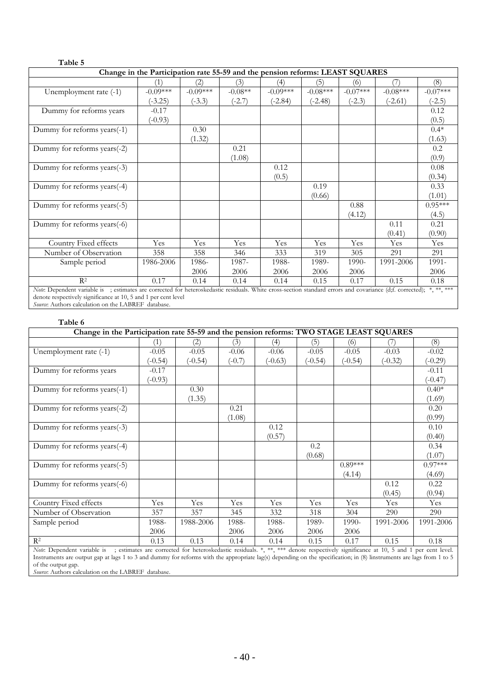|                                                                                                                                                                    | Change in the Participation rate 55-59 and the pension reforms: LEAST SQUARES |            |           |            |            |            |            |            |
|--------------------------------------------------------------------------------------------------------------------------------------------------------------------|-------------------------------------------------------------------------------|------------|-----------|------------|------------|------------|------------|------------|
|                                                                                                                                                                    | (1)                                                                           | (2)        | (3)       | (4)        | (5)        | (6)        | (7)        | (8)        |
| Unemployment rate (-1)                                                                                                                                             | $-0.09***$                                                                    | $-0.09***$ | $-0.08**$ | $-0.09***$ | $-0.08***$ | $-0.07***$ | $-0.08***$ | $-0.07***$ |
|                                                                                                                                                                    | $(-3.25)$                                                                     | $(-3.3)$   | $(-2.7)$  | $(-2.84)$  | $(-2.48)$  | $(-2.3)$   | $(-2.61)$  | $(-2.5)$   |
| Dummy for reforms years                                                                                                                                            | $-0.17$                                                                       |            |           |            |            |            |            | 0.12       |
|                                                                                                                                                                    | $(-0.93)$                                                                     |            |           |            |            |            |            | (0.5)      |
| Dummy for reforms years(-1)                                                                                                                                        |                                                                               | 0.30       |           |            |            |            |            | $0.4*$     |
|                                                                                                                                                                    |                                                                               | (1.32)     |           |            |            |            |            | (1.63)     |
| Dummy for reforms years(-2)                                                                                                                                        |                                                                               |            | 0.21      |            |            |            |            | 0.2        |
|                                                                                                                                                                    |                                                                               |            | (1.08)    |            |            |            |            | (0.9)      |
| Dummy for reforms years(-3)                                                                                                                                        |                                                                               |            |           | 0.12       |            |            |            | 0.08       |
|                                                                                                                                                                    |                                                                               |            |           | (0.5)      |            |            |            | (0.34)     |
| Dummy for reforms years(-4)                                                                                                                                        |                                                                               |            |           |            | 0.19       |            |            | 0.33       |
|                                                                                                                                                                    |                                                                               |            |           |            | (0.66)     |            |            | (1.01)     |
| Dummy for reforms years(-5)                                                                                                                                        |                                                                               |            |           |            |            | 0.88       |            | $0.95***$  |
|                                                                                                                                                                    |                                                                               |            |           |            |            | (4.12)     |            | (4.5)      |
| Dummy for reforms years(-6)                                                                                                                                        |                                                                               |            |           |            |            |            | 0.11       | 0.21       |
|                                                                                                                                                                    |                                                                               |            |           |            |            |            | (0.41)     | (0.90)     |
| Country Fixed effects                                                                                                                                              | Yes                                                                           | Yes        | Yes       | Yes        | Yes        | Yes        | Yes        | Yes        |
| Number of Observation                                                                                                                                              | 358                                                                           | 358        | 346       | 333        | 319        | 305        | 291        | 291        |
| Sample period                                                                                                                                                      | 1986-2006                                                                     | 1986-      | 1987-     | 1988-      | 1989-      | 1990-      | 1991-2006  | 1991-      |
|                                                                                                                                                                    |                                                                               | 2006       | 2006      | 2006       | 2006       | 2006       |            | 2006       |
| $R^2$                                                                                                                                                              | 0.17                                                                          | 0.14       | 0.14      | 0.14       | 0.15       | 0.17       | 0.15       | 0.18       |
| Note: Dependent variable is ; estimates are corrected for heteroskedastic residuals. White cross-section standard errors and covariance (d;f. corrected); *,**,*** |                                                                               |            |           |            |            |            |            |            |
| denote respectively significance at 10, 5 and 1 per cent level                                                                                                     |                                                                               |            |           |            |            |            |            |            |

*Source*: Authors calculation on the LABREF database.

**Table 5**

| Table 6                                                                                                                                                |           |           |          |           |         |           |           |           |
|--------------------------------------------------------------------------------------------------------------------------------------------------------|-----------|-----------|----------|-----------|---------|-----------|-----------|-----------|
| Change in the Participation rate 55-59 and the pension reforms: TWO STAGE LEAST SQUARES                                                                |           |           |          |           |         |           |           |           |
|                                                                                                                                                        | (1)       | (2)       | (3)      | (4)       | (5)     | (6)       | 71        | (8)       |
| Unemployment rate (-1)                                                                                                                                 | $-0.05$   | $-0.05$   | $-0.06$  | $-0.06$   | $-0.05$ | $-0.05$   | $-0.03$   | $-0.02$   |
|                                                                                                                                                        | $(-0.54)$ | $(-0.54)$ | $(-0.7)$ | $(-0.63)$ | $-0.54$ | $(-0.54)$ | $(-0.32)$ | $(-0.29)$ |
| Dummy for reforms years                                                                                                                                | $-0.17$   |           |          |           |         |           |           | $-0.11$   |
|                                                                                                                                                        | $(-0.93)$ |           |          |           |         |           |           | $(-0.47)$ |
| Dummy for reforms years(-1)                                                                                                                            |           | 0.30      |          |           |         |           |           | $0.40*$   |
|                                                                                                                                                        |           | (1.35)    |          |           |         |           |           | (1.69)    |
| Dummy for reforms years(-2)                                                                                                                            |           |           | 0.21     |           |         |           |           | 0.20      |
|                                                                                                                                                        |           |           | (1.08)   |           |         |           |           | (0.99)    |
| Dummy for reforms years(-3)                                                                                                                            |           |           |          | 0.12      |         |           |           | 0.10      |
|                                                                                                                                                        |           |           |          | (0.57)    |         |           |           | (0.40)    |
| Dummy for reforms years(-4)                                                                                                                            |           |           |          |           | 0.2     |           |           | 0.34      |
|                                                                                                                                                        |           |           |          |           | (0.68)  |           |           | (1.07)    |
| Dummy for reforms years(-5)                                                                                                                            |           |           |          |           |         | $0.89***$ |           | $0.97***$ |
|                                                                                                                                                        |           |           |          |           |         | (4.14)    |           | (4.69)    |
| Dummy for reforms years(-6)                                                                                                                            |           |           |          |           |         |           | 0.12      | 0.22      |
|                                                                                                                                                        |           |           |          |           |         |           | (0.45)    | (0.94)    |
| Country Fixed effects                                                                                                                                  | Yes       | Yes       | Yes      | Yes       | Yes     | Yes       | Yes       | Yes       |
| Number of Observation                                                                                                                                  | 357       | 357       | 345      | 332       | 318     | 304       | 290       | 290       |
| Sample period                                                                                                                                          | 1988-     | 1988-2006 | 1988-    | 1988-     | 1989-   | 1990-     | 1991-2006 | 1991-2006 |
|                                                                                                                                                        | 2006      |           | 2006     | 2006      | 2006    | 2006      |           |           |
| $R^2$                                                                                                                                                  | 0.13      | 0.13      | 0.14     | 0.14      | 0.15    | 0.17      | 0.15      | 0.18      |
| Nete Dependent regionale is estimates are corrected for betweekedesig regionals * ** *** depote respectively ejectiveness of 10,5 and 1 net cent level |           |           |          |           |         |           |           |           |

*Note*: Dependent variable is ; estimates are corrected for heteroskedastic residuals. \*, \*\*, \*\*\* denote respectively significance at 10, 5 and 1 per cent level. Instruments are output gap at lags 1 to 3 and dummy for reforms with the appropriate lag(s) depending on the specification; in (8) linstruments are lags from 1 to 5 of the output gap.

*Source*: Authors calculation on the LABREF database.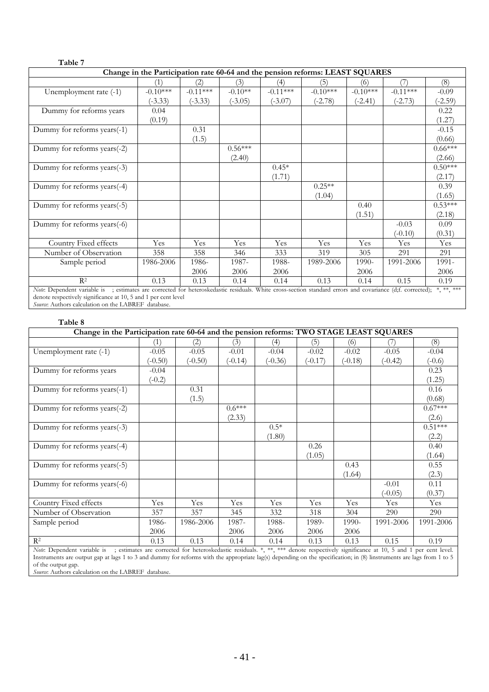|                             |            |            |           |            | Change in the Participation rate 60-64 and the pension reforms: LEAST SQUARES |            |            |           |
|-----------------------------|------------|------------|-----------|------------|-------------------------------------------------------------------------------|------------|------------|-----------|
|                             | (1)        | (2)        | (3)       | (4)        | (5)                                                                           | (6)        |            | (8)       |
| Unemployment rate (-1)      | $-0.10***$ | $-0.11***$ | $-0.10**$ | $-0.11***$ | $-0.10***$                                                                    | $-0.10***$ | $-0.11***$ | $-0.09$   |
|                             | $(-3.33)$  | $(-3.33)$  | $(-3.05)$ | $(-3.07)$  | $(-2.78)$                                                                     | $(-2.41)$  | $(-2.73)$  | $(-2.59)$ |
| Dummy for reforms years     | 0.04       |            |           |            |                                                                               |            |            | 0.22      |
|                             | (0.19)     |            |           |            |                                                                               |            |            | (1.27)    |
| Dummy for reforms years(-1) |            | 0.31       |           |            |                                                                               |            |            | $-0.15$   |
|                             |            | (1.5)      |           |            |                                                                               |            |            | (0.66)    |
| Dummy for reforms years(-2) |            |            | $0.56***$ |            |                                                                               |            |            | $0.66***$ |
|                             |            |            | (2.40)    |            |                                                                               |            |            | (2.66)    |
| Dummy for reforms years(-3) |            |            |           | $0.45*$    |                                                                               |            |            | $0.50***$ |
|                             |            |            |           | (1.71)     |                                                                               |            |            | (2.17)    |
| Dummy for reforms years(-4) |            |            |           |            | $0.25**$                                                                      |            |            | 0.39      |
|                             |            |            |           |            | (1.04)                                                                        |            |            | (1.65)    |
| Dummy for reforms years(-5) |            |            |           |            |                                                                               | 0.40       |            | $0.53***$ |
|                             |            |            |           |            |                                                                               | (1.51)     |            | (2.18)    |
| Dummy for reforms years(-6) |            |            |           |            |                                                                               |            | $-0.03$    | 0.09      |
|                             |            |            |           |            |                                                                               |            | $(-0.10)$  | (0.31)    |
| Country Fixed effects       | Yes        | Yes        | Yes       | Yes        | Yes                                                                           | Yes        | Yes        | Yes       |
| Number of Observation       | 358        | 358        | 346       | 333        | 319                                                                           | 305        | 291        | 291       |
| Sample period               | 1986-2006  | 1986-      | 1987-     | 1988-      | 1989-2006                                                                     | 1990-      | 1991-2006  | 1991-     |
|                             |            | 2006       | 2006      | 2006       |                                                                               | 2006       |            | 2006      |
| $R^2$                       | 0.13       | 0.13       | 0.14      | 0.14       | 0.13                                                                          | 0.14       | 0.15       | 0.19      |

*Source*: Authors calculation on the LABREF database.

| Table 8                                                                                                                                                    |           |           |           |           |         |           |           |           |
|------------------------------------------------------------------------------------------------------------------------------------------------------------|-----------|-----------|-----------|-----------|---------|-----------|-----------|-----------|
| Change in the Participation rate 60-64 and the pension reforms: TWO STAGE LEAST SQUARES                                                                    |           |           |           |           |         |           |           |           |
|                                                                                                                                                            | (1)       | (2)       | (3)       | (4)       | (5)     | (6)       |           | (8)       |
| Unemployment rate (-1)                                                                                                                                     | $-0.05$   | $-0.05$   | $-0.01$   | $-0.04$   | $-0.02$ | $-0.02$   | $-0.05$   | $-0.04$   |
|                                                                                                                                                            | $(-0.50)$ | $(-0.50)$ | $(-0.14)$ | $(-0.36)$ | $-0.17$ | $(-0.18)$ | $(-0.42)$ | $(-0.6)$  |
| Dummy for reforms years                                                                                                                                    | $-0.04$   |           |           |           |         |           |           | 0.23      |
|                                                                                                                                                            | $(-0.2)$  |           |           |           |         |           |           | (1.25)    |
| Dummy for reforms years(-1)                                                                                                                                |           | 0.31      |           |           |         |           |           | 0.16      |
|                                                                                                                                                            |           | (1.5)     |           |           |         |           |           | (0.68)    |
| Dummy for reforms years(-2)                                                                                                                                |           |           | $0.6***$  |           |         |           |           | $0.67***$ |
|                                                                                                                                                            |           |           | (2.33)    |           |         |           |           | (2.6)     |
| Dummy for reforms years(-3)                                                                                                                                |           |           |           | $0.5*$    |         |           |           | $0.51***$ |
|                                                                                                                                                            |           |           |           | (1.80)    |         |           |           | (2.2)     |
| Dummy for reforms years(-4)                                                                                                                                |           |           |           |           | 0.26    |           |           | 0.40      |
|                                                                                                                                                            |           |           |           |           | (1.05)  |           |           | (1.64)    |
| Dummy for reforms years(-5)                                                                                                                                |           |           |           |           |         | 0.43      |           | 0.55      |
|                                                                                                                                                            |           |           |           |           |         | (1.64)    |           | (2.3)     |
| Dummy for reforms years(-6)                                                                                                                                |           |           |           |           |         |           | $-0.01$   | 0.11      |
|                                                                                                                                                            |           |           |           |           |         |           | $(-0.05)$ | (0.37)    |
| Country Fixed effects                                                                                                                                      | Yes       | Yes       | Yes       | Yes       | Yes     | Yes       | Yes       | Yes       |
| Number of Observation                                                                                                                                      | 357       | 357       | 345       | 332       | 318     | 304       | 290       | 290       |
| Sample period                                                                                                                                              | 1986-     | 1986-2006 | 1987-     | 1988-     | 1989-   | 1990-     | 1991-2006 | 1991-2006 |
|                                                                                                                                                            | 2006      |           | 2006      | 2006      | 2006    | 2006      |           |           |
| $R^2$                                                                                                                                                      | 0.13      | 0.13      | 0.14      | 0.14      | 0.13    | 0.13      | 0.15      | 0.19      |
| Note Dependent register is activated an equipment for hateroglycologies registrates * ** *** denote geometrically eigenfigures at 10 F and 1 non continual |           |           |           |           |         |           |           |           |

*Note*: Dependent variable is ; estimates are corrected for heteroskedastic residuals. \*, \*\*, \*\*\* denote respectively significance at 10, 5 and 1 per cent level. Instruments are output gap at lags 1 to 3 and dummy for reforms with the appropriate lag(s) depending on the specification; in (8) linstruments are lags from 1 to 5 of the output gap.

*Source*: Authors calculation on the LABREF database.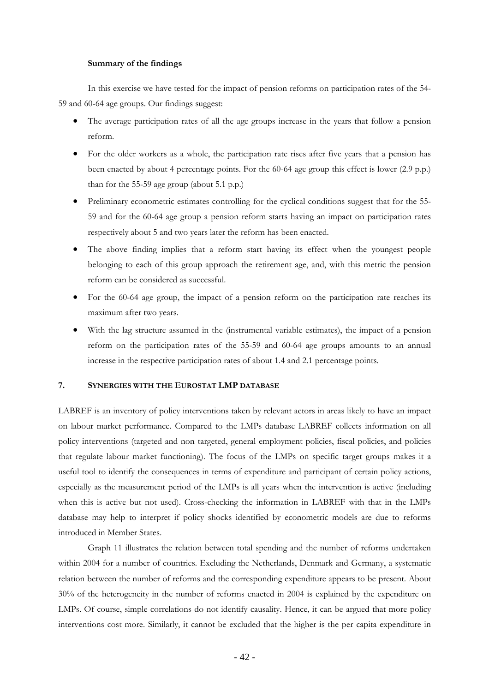#### **Summary of the findings**

In this exercise we have tested for the impact of pension reforms on participation rates of the 54- 59 and 60-64 age groups. Our findings suggest:

- The average participation rates of all the age groups increase in the years that follow a pension reform.
- For the older workers as a whole, the participation rate rises after five years that a pension has been enacted by about 4 percentage points. For the 60-64 age group this effect is lower (2.9 p.p.) than for the 55-59 age group (about 5.1 p.p.)
- Preliminary econometric estimates controlling for the cyclical conditions suggest that for the 55- 59 and for the 60-64 age group a pension reform starts having an impact on participation rates respectively about 5 and two years later the reform has been enacted.
- The above finding implies that a reform start having its effect when the youngest people belonging to each of this group approach the retirement age, and, with this metric the pension reform can be considered as successful.
- For the 60-64 age group, the impact of a pension reform on the participation rate reaches its maximum after two years.
- With the lag structure assumed in the (instrumental variable estimates), the impact of a pension reform on the participation rates of the 55-59 and 60-64 age groups amounts to an annual increase in the respective participation rates of about 1.4 and 2.1 percentage points.

### <span id="page-40-0"></span>**7. SYNERGIES WITH THE EUROSTAT LMP DATABASE**

LABREF is an inventory of policy interventions taken by relevant actors in areas likely to have an impact on labour market performance. Compared to the LMPs database LABREF collects information on all policy interventions (targeted and non targeted, general employment policies, fiscal policies, and policies that regulate labour market functioning). The focus of the LMPs on specific target groups makes it a useful tool to identify the consequences in terms of expenditure and participant of certain policy actions, especially as the measurement period of the LMPs is all years when the intervention is active (including when this is active but not used). Cross-checking the information in LABREF with that in the LMPs database may help to interpret if policy shocks identified by econometric models are due to reforms introduced in Member States.

Graph 11 illustrates the relation between total spending and the number of reforms undertaken within 2004 for a number of countries. Excluding the Netherlands, Denmark and Germany, a systematic relation between the number of reforms and the corresponding expenditure appears to be present. About 30% of the heterogeneity in the number of reforms enacted in 2004 is explained by the expenditure on LMPs. Of course, simple correlations do not identify causality. Hence, it can be argued that more policy interventions cost more. Similarly, it cannot be excluded that the higher is the per capita expenditure in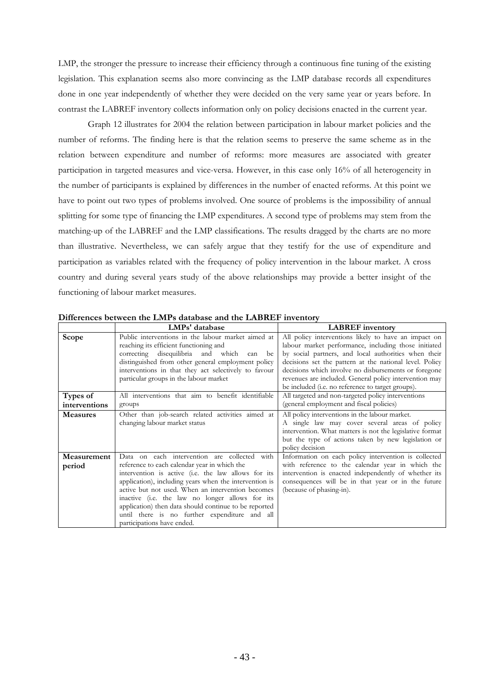LMP, the stronger the pressure to increase their efficiency through a continuous fine tuning of the existing legislation. This explanation seems also more convincing as the LMP database records all expenditures done in one year independently of whether they were decided on the very same year or years before. In contrast the LABREF inventory collects information only on policy decisions enacted in the current year.

Graph 12 illustrates for 2004 the relation between participation in labour market policies and the number of reforms. The finding here is that the relation seems to preserve the same scheme as in the relation between expenditure and number of reforms: more measures are associated with greater participation in targeted measures and vice-versa. However, in this case only 16% of all heterogeneity in the number of participants is explained by differences in the number of enacted reforms. At this point we have to point out two types of problems involved. One source of problems is the impossibility of annual splitting for some type of financing the LMP expenditures. A second type of problems may stem from the matching-up of the LABREF and the LMP classifications. The results dragged by the charts are no more than illustrative. Nevertheless, we can safely argue that they testify for the use of expenditure and participation as variables related with the frequency of policy intervention in the labour market. A cross country and during several years study of the above relationships may provide a better insight of the functioning of labour market measures.

|                           | LMPs' database                                                                                                                                                                                                                                                                                                                                                                                                                                                | <b>LABREF</b> inventory                                                                                                                                                                                                                            |
|---------------------------|---------------------------------------------------------------------------------------------------------------------------------------------------------------------------------------------------------------------------------------------------------------------------------------------------------------------------------------------------------------------------------------------------------------------------------------------------------------|----------------------------------------------------------------------------------------------------------------------------------------------------------------------------------------------------------------------------------------------------|
| Scope                     | Public interventions in the labour market aimed at<br>reaching its efficient functioning and<br>correcting disequilibria and which<br>can<br>be                                                                                                                                                                                                                                                                                                               | All policy interventions likely to have an impact on<br>labour market performance, including those initiated<br>by social partners, and local authorities when their                                                                               |
|                           | distinguished from other general employment policy<br>interventions in that they act selectively to favour<br>particular groups in the labour market                                                                                                                                                                                                                                                                                                          | decisions set the pattern at the national level. Policy<br>decisions which involve no disbursements or foregone<br>revenues are included. General policy intervention may<br>be included (i.e. no reference to target groups).                     |
| Types of<br>interventions | All interventions that aim to benefit identifiable<br>groups                                                                                                                                                                                                                                                                                                                                                                                                  | All targeted and non-targeted policy interventions<br>(general employment and fiscal policies)                                                                                                                                                     |
| <b>Measures</b>           | Other than job-search related activities aimed at<br>changing labour market status                                                                                                                                                                                                                                                                                                                                                                            | All policy interventions in the labour market.<br>A single law may cover several areas of policy<br>intervention. What matters is not the legislative format<br>but the type of actions taken by new legislation or<br>policy decision             |
| Measurement<br>period     | Data on each intervention are collected with<br>reference to each calendar year in which the<br>intervention is active (i.e. the law allows for its<br>application), including years when the intervention is<br>active but not used. When an intervention becomes<br>inactive (i.e. the law no longer allows for its<br>application) then data should continue to be reported<br>until there is no further expenditure and all<br>participations have ended. | Information on each policy intervention is collected<br>with reference to the calendar year in which the<br>intervention is enacted independently of whether its<br>consequences will be in that year or in the future<br>(because of phasing-in). |

**Differences between the LMPs database and the LABREF inventory**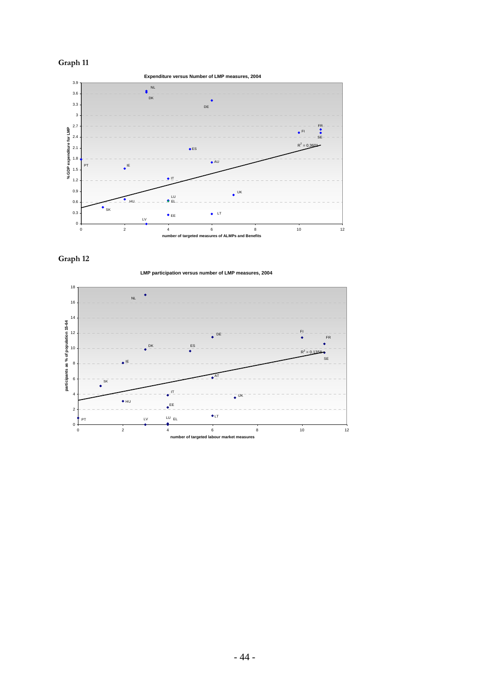



**Graph 12** 



**LMP participation versus number of LMP measures, 2004**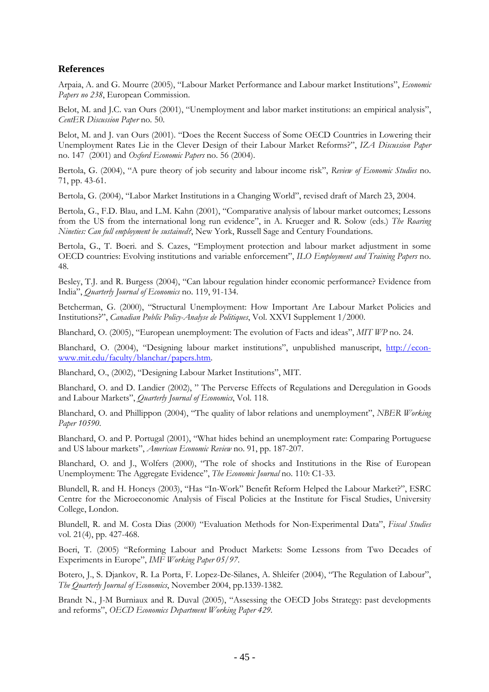# **References**

Arpaia, A. and G. Mourre (2005), "Labour Market Performance and Labour market Institutions", *Economic Papers no 238*, European Commission.

Belot, M. and J.C. van Ours (2001), "Unemployment and labor market institutions: an empirical analysis", *CentER Discussion Paper* no. 50.

Belot, M. and J. van Ours (2001). "Does the Recent Success of Some OECD Countries in Lowering their Unemployment Rates Lie in the Clever Design of their Labour Market Reforms?", *IZA Discussion Paper* no. 147 (2001) and *Oxford Economic Papers* no. 56 (2004).

Bertola, G. (2004), "A pure theory of job security and labour income risk", *Review of Economic Studies* no. 71, pp. 43-61.

Bertola, G. (2004), "Labor Market Institutions in a Changing World", revised draft of March 23, 2004.

Bertola, G., F.D. Blau, and L.M. Kahn (2001), "Comparative analysis of labour market outcomes; Lessons from the US from the international long run evidence", in A. Krueger and R. Solow (eds.) *The Roaring Nineties: Can full employment be sustained?*, New York, Russell Sage and Century Foundations.

Bertola, G., T. Boeri. and S. Cazes, ["Employment protection and labour market adjustment in some](http://rds.yahoo.com/_ylt=AhbBL1vS0ZCGeg5HJgToL2BXNyoA;_ylu=X3oDMTBxcjloczBtBGNvbG8DZQRsA1dTMQRwb3MDMTAEc2VjA3Ny/SIG=1288nsi6p/EXP=1134038921/**http%3a/citeseer.ist.psu.edu/bertola99employment.html)  [OECD countries: Evolving institutions and variable e](http://rds.yahoo.com/_ylt=AhbBL1vS0ZCGeg5HJgToL2BXNyoA;_ylu=X3oDMTBxcjloczBtBGNvbG8DZQRsA1dTMQRwb3MDMTAEc2VjA3Ny/SIG=1288nsi6p/EXP=1134038921/**http%3a/citeseer.ist.psu.edu/bertola99employment.html)nforcement", *ILO Employment and Training Papers* no. 48.

Besley, T.J. and R. Burgess (2004), "Can labour regulation hinder economic performance? Evidence from India", *Quarterly Journal of Economics* no. 119, 91-134.

Betcherman, G. (2000), "Structural Unemployment: How Important Are Labour Market Policies and Institutions?", *Canadian Public Policy-Analyse de Politiques*, Vol. XXVI Supplement 1/2000.

Blanchard, O. (2005), "European unemployment: The evolution of Facts and ideas", *MIT WP* no. 24.

Blanchard, O. (2004), "Designing labour market institutions", unpublished manuscript, [http://econ](http://econ-www.mit.edu/faculty/blanchar/papers.htm)[www.mit.edu/faculty/blanchar/papers.htm.](http://econ-www.mit.edu/faculty/blanchar/papers.htm) 

Blanchard, O., (2002), "Designing Labour Market Institutions", MIT.

Blanchard, O. and D. Landier (2002), " The Perverse Effects of Regulations and Deregulation in Goods and Labour Markets", *Quarterly Journal of Economics*, Vol. 118.

Blanchard, O. and Phillippon (2004), "The quality of labor relations and unemployment", *NBER Working Paper 10590*.

Blanchard, O. and P. Portugal (2001), "What hides behind an unemployment rate: Comparing Portuguese and US labour markets", *American Economic Review* no. 91, pp. 187-207.

Blanchard, O. and J., Wolfers (2000), "The role of shocks and Institutions in the Rise of European Unemployment: The Aggregate Evidence", *The Economic Journal* no. 110: C1-33.

Blundell, R. and H. Honeys (2003), "Has "In-Work" Benefit Reform Helped the Labour Market?", ESRC Centre for the Microeconomic Analysis of Fiscal Policies at the Institute for Fiscal Studies, University College, London.

Blundell, R. and M. Costa Dias (2000) "Evaluation Methods for Non-Experimental Data", *Fiscal Studies* vol. 21(4), pp. 427-468.

Boeri, T. (2005) "Reforming Labour and Product Markets: Some Lessons from Two Decades of Experiments in Europe", *IMF Working Paper 05/97*.

Botero, J., S. Djankov, R. La Porta, F. Lopez-De-Silanes, A. Shleifer (2004), "The Regulation of Labour", *The Quarterly Journal of Economics*, November 2004, pp.1339-1382.

Brandt N., J-M Burniaux and R. Duval (2005), "Assessing the OECD Jobs Strategy: past developments and reforms", *OECD Economics Department Working Paper 429*.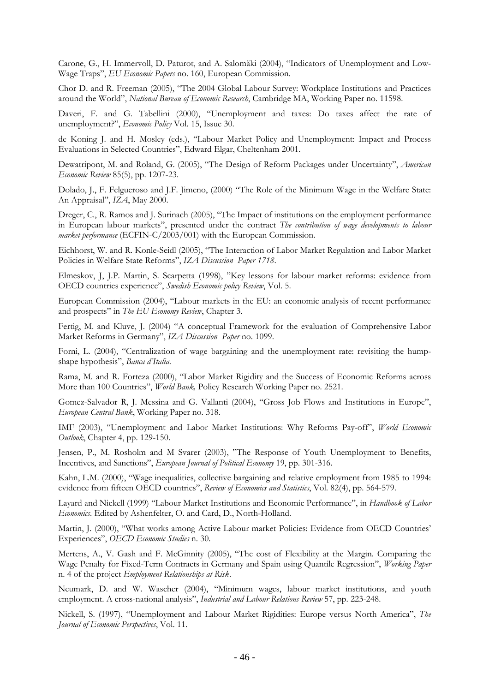Carone, G., H. Immervoll, D. Paturot, and A. Salomäki (2004), "Indicators of Unemployment and Low-Wage Traps", *EU Economic Papers* no. 160, European Commission.

Chor D. and R. Freeman (2005), "The 2004 Global Labour Survey: Workplace Institutions and Practices around the World", *National Bureau of Economic Research*, Cambridge MA, Working Paper no. 11598.

Daveri, F. and G. Tabellini (2000), "Unemployment and taxes: Do taxes affect the rate of unemployment?", *Economic Policy* Vol. 15, Issue 30.

de Koning J. and H. Mosley (eds.), "Labour Market Policy and Unemployment: Impact and Process Evaluations in Selected Countries", Edward Elgar, Cheltenham 2001.

Dewatripont, M. and Roland, G. (2005), "The Design of Reform Packages under Uncertainty", *American Economic Review* 85(5), pp. 1207-23.

Dolado, J., F. Felgueroso and J.F. Jimeno, (2000) "The Role of the Minimum Wage in the Welfare State: An Appraisal", *IZA*, May 2000.

Dreger, C., R. Ramos and J. Surinach (2005), "The Impact of institutions on the employment performance in European labour markets", presented under the contract *The contribution of wage developments to labour market performance* (ECFIN-C/2003/001) with the European Commission.

Eichhorst, W. and R. Konle-Seidl (2005), "The Interaction of Labor Market Regulation and Labor Market Policies in Welfare State Reforms", *IZA Discussion Paper 1718*.

Elmeskov, J, J.P. Martin, S. Scarpetta (1998), "Key lessons for labour market reforms: evidence from OECD countries experience", *Swedish Economic policy Review*, Vol. 5.

European Commission (2004), "Labour markets in the EU: an economic analysis of recent performance and prospects" in *The EU Economy Review*, Chapter 3.

Fertig, M. and Kluve, J. (2004) "A conceptual Framework for the evaluation of Comprehensive Labor Market Reforms in Germany", *IZA Discussion Paper* no. 1099.

Forni, L. (2004), "Centralization of wage bargaining and the unemployment rate: revisiting the humpshape hypothesis", *Banca d'Italia*.

Rama, M. and R. Forteza (2000), "Labor Market Rigidity and the Success of Economic Reforms across More than 100 Countries", *World Bank,* Policy Research Working Paper no. 2521.

Gomez-Salvador R, J. Messina and G. Vallanti (2004), "Gross Job Flows and Institutions in Europe", *European Central Bank*, Working Paper no. 318.

IMF (2003), "Unemployment and Labor Market Institutions: Why Reforms Pay-off", *World Economic Outlook*, Chapter 4, pp. 129-150.

Jensen, P., M. Rosholm and M Svarer (2003), "The Response of Youth Unemployment to Benefits, Incentives, and Sanctions", *European Journal of Political Economy* 19, pp. 301-316.

Kahn, L.M. (2000), "Wage inequalities, collective bargaining and relative employment from 1985 to 1994: evidence from fifteen OECD countries", *Review of Economics and Statistics*, Vol. 82(4), pp. 564-579.

Layard and Nickell (1999) "Labour Market Institutions and Economic Performance", in *Handbook of Labor Economics*. Edited by Ashenfelter, O. and Card, D., North-Holland.

Martin, J. (2000), "What works among Active Labour market Policies: Evidence from OECD Countries' Experiences", *OECD Economic Studies* n. 30.

Mertens, A., V. Gash and F. McGinnity (2005), "The cost of Flexibility at the Margin. Comparing the Wage Penalty for Fixed-Term Contracts in Germany and Spain using Quantile Regression", *Working Paper* n. 4 of the project *Employment Relationships at Risk*.

Neumark, D. and W. Wascher (2004), "Minimum wages, labour market institutions, and youth employment. A cross-national analysis", *Industrial and Labour Relations Review* 57, pp. 223-248.

Nickell, S. (1997), "Unemployment and Labour Market Rigidities: Europe versus North America", *The Journal of Economic Perspectives*, Vol. 11.